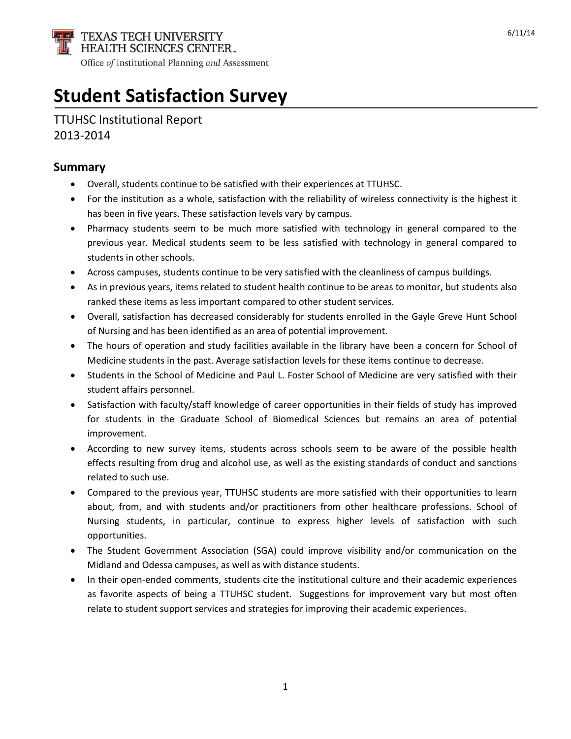

# **Student Satisfaction Survey**

# TTUHSC Institutional Report 2013-2014

#### **Summary**

- Overall, students continue to be satisfied with their experiences at TTUHSC.
- For the institution as a whole, satisfaction with the reliability of wireless connectivity is the highest it has been in five years. These satisfaction levels vary by campus.
- Pharmacy students seem to be much more satisfied with technology in general compared to the previous year. Medical students seem to be less satisfied with technology in general compared to students in other schools.
- Across campuses, students continue to be very satisfied with the cleanliness of campus buildings.
- As in previous years, items related to student health continue to be areas to monitor, but students also ranked these items as less important compared to other student services.
- Overall, satisfaction has decreased considerably for students enrolled in the Gayle Greve Hunt School of Nursing and has been identified as an area of potential improvement.
- The hours of operation and study facilities available in the library have been a concern for School of Medicine students in the past. Average satisfaction levels for these items continue to decrease.
- Students in the School of Medicine and Paul L. Foster School of Medicine are very satisfied with their student affairs personnel.
- Satisfaction with faculty/staff knowledge of career opportunities in their fields of study has improved for students in the Graduate School of Biomedical Sciences but remains an area of potential improvement.
- According to new survey items, students across schools seem to be aware of the possible health effects resulting from drug and alcohol use, as well as the existing standards of conduct and sanctions related to such use.
- Compared to the previous year, TTUHSC students are more satisfied with their opportunities to learn about, from, and with students and/or practitioners from other healthcare professions. School of Nursing students, in particular, continue to express higher levels of satisfaction with such opportunities.
- The Student Government Association (SGA) could improve visibility and/or communication on the Midland and Odessa campuses, as well as with distance students.
- In their open-ended comments, students cite the institutional culture and their academic experiences as favorite aspects of being a TTUHSC student. Suggestions for improvement vary but most often relate to student support services and strategies for improving their academic experiences.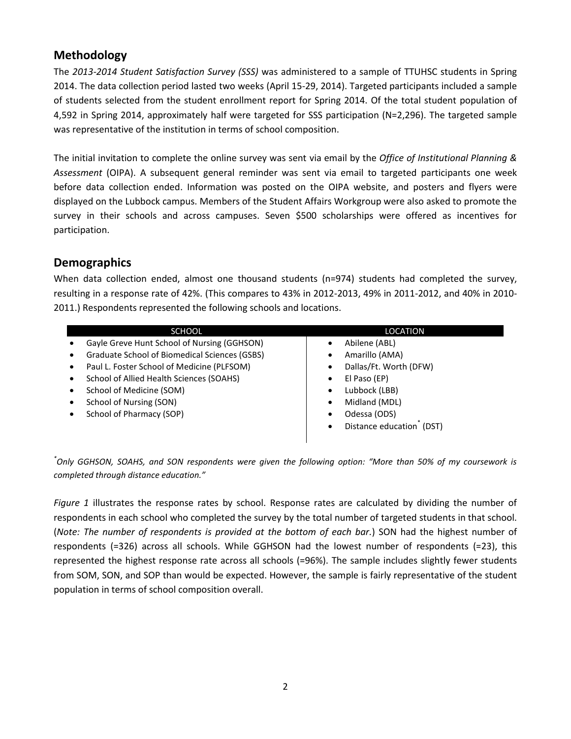# **Methodology**

The *2013-2014 Student Satisfaction Survey (SSS)* was administered to a sample of TTUHSC students in Spring 2014. The data collection period lasted two weeks (April 15-29, 2014). Targeted participants included a sample of students selected from the student enrollment report for Spring 2014. Of the total student population of 4,592 in Spring 2014, approximately half were targeted for SSS participation (N=2,296). The targeted sample was representative of the institution in terms of school composition.

The initial invitation to complete the online survey was sent via email by the *Office of Institutional Planning & Assessment* (OIPA). A subsequent general reminder was sent via email to targeted participants one week before data collection ended. Information was posted on the OIPA website, and posters and flyers were displayed on the Lubbock campus. Members of the Student Affairs Workgroup were also asked to promote the survey in their schools and across campuses. Seven \$500 scholarships were offered as incentives for participation.

#### **Demographics**

When data collection ended, almost one thousand students (n=974) students had completed the survey, resulting in a response rate of 42%. (This compares to 43% in 2012-2013, 49% in 2011-2012, and 40% in 2010- 2011.) Respondents represented the following schools and locations.

| <b>SCHOOL</b>                                 | <b>LOCATION</b>                       |
|-----------------------------------------------|---------------------------------------|
| Gayle Greve Hunt School of Nursing (GGHSON)   | Abilene (ABL)                         |
| Graduate School of Biomedical Sciences (GSBS) | Amarillo (AMA)<br>٠                   |
| Paul L. Foster School of Medicine (PLFSOM)    | Dallas/Ft. Worth (DFW)<br>٠           |
| School of Allied Health Sciences (SOAHS)      | El Paso (EP)<br>$\bullet$             |
| School of Medicine (SOM)                      | Lubbock (LBB)<br>٠                    |
| School of Nursing (SON)                       | Midland (MDL)<br>٠                    |
| School of Pharmacy (SOP)                      | Odessa (ODS)<br>٠                     |
|                                               | Distance education <sup>®</sup> (DST) |

*\* Only GGHSON, SOAHS, and SON respondents were given the following option: "More than 50% of my coursework is completed through distance education."*

*Figure 1* illustrates the response rates by school. Response rates are calculated by dividing the number of respondents in each school who completed the survey by the total number of targeted students in that school. (*Note: The number of respondents is provided at the bottom of each bar.*) SON had the highest number of respondents (=326) across all schools. While GGHSON had the lowest number of respondents (=23), this represented the highest response rate across all schools (=96%). The sample includes slightly fewer students from SOM, SON, and SOP than would be expected. However, the sample is fairly representative of the student population in terms of school composition overall.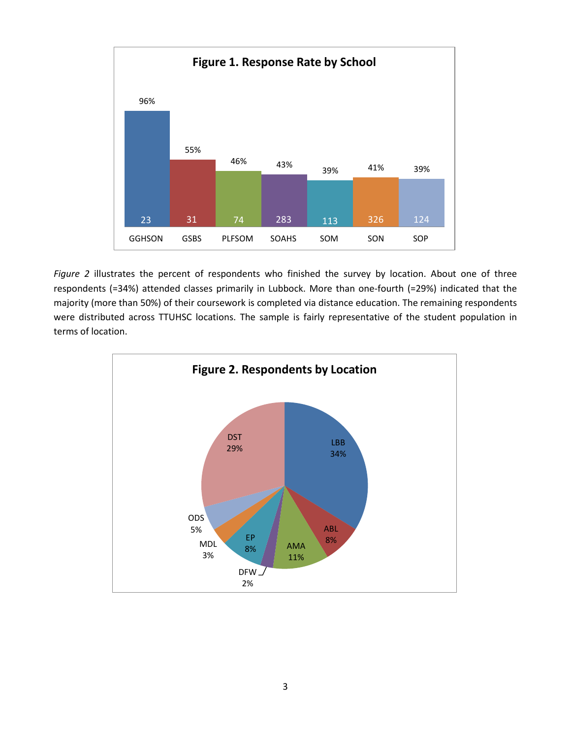

*Figure 2* illustrates the percent of respondents who finished the survey by location. About one of three respondents (=34%) attended classes primarily in Lubbock. More than one-fourth (=29%) indicated that the majority (more than 50%) of their coursework is completed via distance education. The remaining respondents were distributed across TTUHSC locations. The sample is fairly representative of the student population in terms of location.

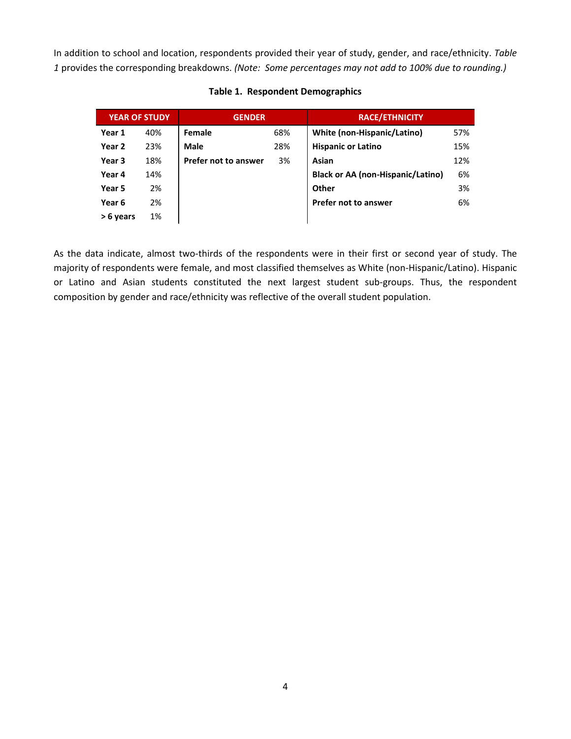In addition to school and location, respondents provided their year of study, gender, and race/ethnicity. *Table 1* provides the corresponding breakdowns. *(Note: Some percentages may not add to 100% due to rounding.)*

| <b>YEAR OF STUDY</b> |     | <b>GENDER</b>        |     | <b>RACE/ETHNICITY</b>             |     |
|----------------------|-----|----------------------|-----|-----------------------------------|-----|
| Year 1               | 40% | Female               | 68% | White (non-Hispanic/Latino)       | 57% |
| Year <sub>2</sub>    | 23% | Male                 | 28% | <b>Hispanic or Latino</b>         | 15% |
| Year 3               | 18% | Prefer not to answer | 3%  | Asian                             | 12% |
| Year 4               | 14% |                      |     | Black or AA (non-Hispanic/Latino) | 6%  |
| Year 5               | 2%  |                      |     | Other                             | 3%  |
| Year 6               | 2%  |                      |     | Prefer not to answer              | 6%  |
| > 6 years            | 1%  |                      |     |                                   |     |

#### **Table 1. Respondent Demographics**

As the data indicate, almost two-thirds of the respondents were in their first or second year of study. The majority of respondents were female, and most classified themselves as White (non-Hispanic/Latino). Hispanic or Latino and Asian students constituted the next largest student sub-groups. Thus, the respondent composition by gender and race/ethnicity was reflective of the overall student population.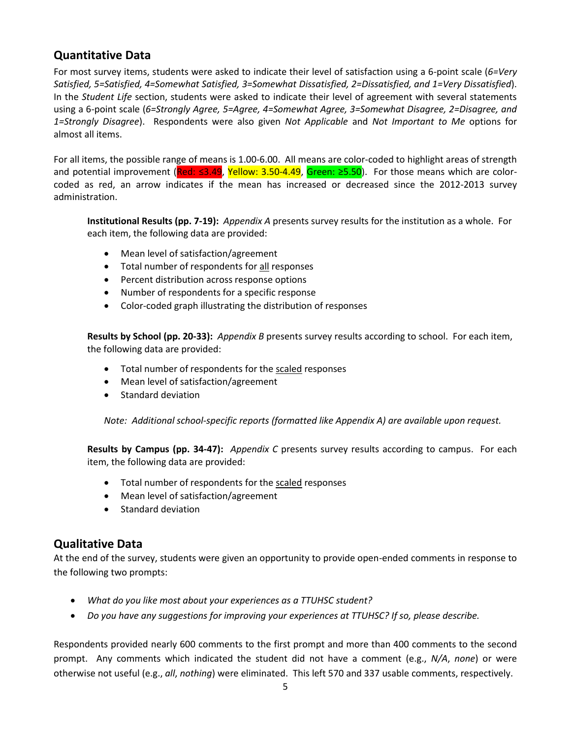# **Quantitative Data**

For most survey items, students were asked to indicate their level of satisfaction using a 6-point scale (*6=Very Satisfied, 5=Satisfied, 4=Somewhat Satisfied, 3=Somewhat Dissatisfied, 2=Dissatisfied, and 1=Very Dissatisfied*). In the *Student Life* section, students were asked to indicate their level of agreement with several statements using a 6-point scale (*6=Strongly Agree, 5=Agree, 4=Somewhat Agree, 3=Somewhat Disagree, 2=Disagree, and 1=Strongly Disagree*). Respondents were also given *Not Applicable* and *Not Important to Me* options for almost all items.

For all items, the possible range of means is 1.00-6.00. All means are color-coded to highlight areas of strength and potential improvement (Red: ≤3.49, Yellow: 3.50-4.49, Green: ≥5.50). For those means which are colorcoded as red, an arrow indicates if the mean has increased or decreased since the 2012-2013 survey administration.

**Institutional Results (pp. 7-19):** *Appendix A* presents survey results for the institution as a whole. For each item, the following data are provided:

- Mean level of satisfaction/agreement
- Total number of respondents for all responses
- Percent distribution across response options
- Number of respondents for a specific response
- Color-coded graph illustrating the distribution of responses

**Results by School (pp. 20-33):** *Appendix B* presents survey results according to school. For each item, the following data are provided:

- Total number of respondents for the scaled responses
- Mean level of satisfaction/agreement
- Standard deviation

*Note:**Additional school-specific reports (formatted like Appendix A) are available upon request.*

**Results by Campus (pp. 34-47):** *Appendix C* presents survey results according to campus. For each item, the following data are provided:

- Total number of respondents for the scaled responses
- Mean level of satisfaction/agreement
- Standard deviation

#### **Qualitative Data**

At the end of the survey, students were given an opportunity to provide open-ended comments in response to the following two prompts:

- *What do you like most about your experiences as a TTUHSC student?*
- *Do you have any suggestions for improving your experiences at TTUHSC? If so, please describe.*

Respondents provided nearly 600 comments to the first prompt and more than 400 comments to the second prompt. Any comments which indicated the student did not have a comment (e.g., *N/A*, *none*) or were otherwise not useful (e.g., *all*, *nothing*) were eliminated. This left 570 and 337 usable comments, respectively.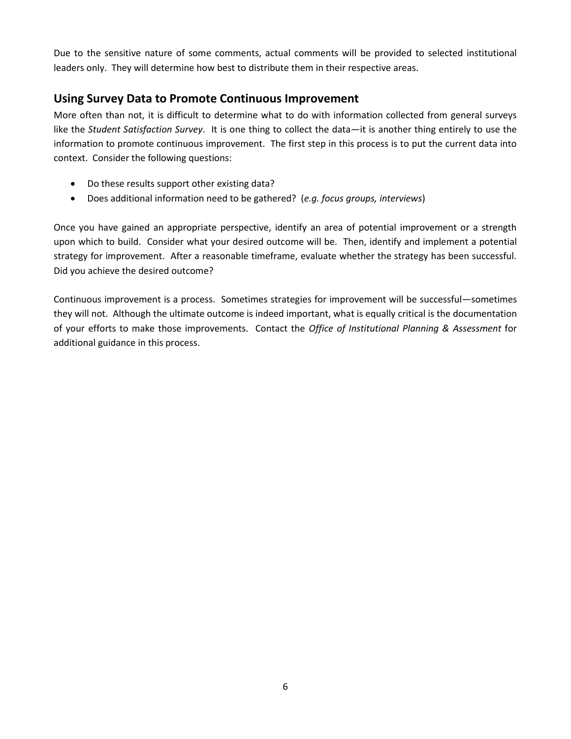Due to the sensitive nature of some comments, actual comments will be provided to selected institutional leaders only. They will determine how best to distribute them in their respective areas.

# **Using Survey Data to Promote Continuous Improvement**

More often than not, it is difficult to determine what to do with information collected from general surveys like the *Student Satisfaction Survey*. It is one thing to collect the data—it is another thing entirely to use the information to promote continuous improvement. The first step in this process is to put the current data into context. Consider the following questions:

- Do these results support other existing data?
- Does additional information need to be gathered? (*e.g. focus groups, interviews*)

Once you have gained an appropriate perspective, identify an area of potential improvement or a strength upon which to build. Consider what your desired outcome will be. Then, identify and implement a potential strategy for improvement. After a reasonable timeframe, evaluate whether the strategy has been successful. Did you achieve the desired outcome?

Continuous improvement is a process. Sometimes strategies for improvement will be successful—sometimes they will not. Although the ultimate outcome is indeed important, what is equally critical is the documentation of your efforts to make those improvements. Contact the *Office of Institutional Planning & Assessment* for additional guidance in this process.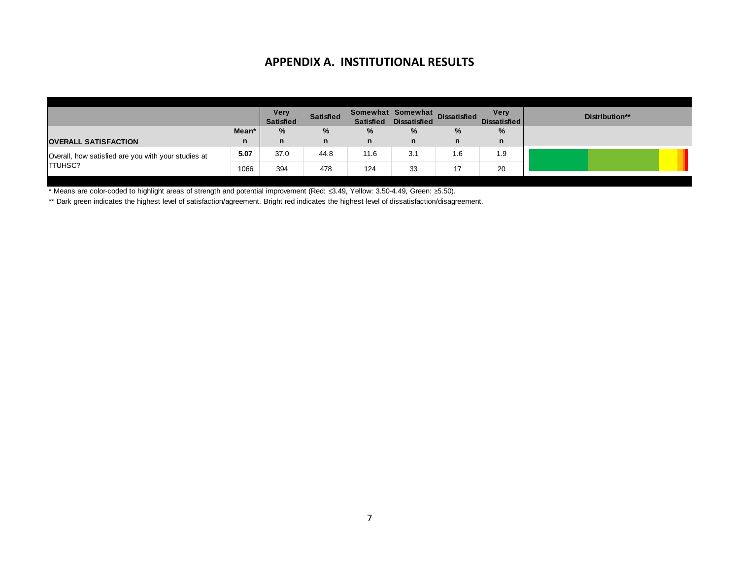### **APPENDIX A. INSTITUTIONAL RESULTS**

|                                                     |       | <b>Very</b><br><b>Satisfied</b> | <b>Satisfied</b> | <b>Satisfied</b> | Somewhat Somewhat<br><b>Dissatisfied</b> | <b>Dissatisfied</b> | <b>Very</b><br><b>Dissatisfied</b> | Distribution** |
|-----------------------------------------------------|-------|---------------------------------|------------------|------------------|------------------------------------------|---------------------|------------------------------------|----------------|
|                                                     | Mean* | $\%$                            | %                | %                | %                                        | $\%$                | $\%$                               |                |
| <b>OVERALL SATISFACTION</b>                         | n     | n                               | n                | n                | n                                        | n                   | n                                  |                |
| Overall, how satisfied are you with your studies at | 5.07  | 37.0                            | 44.8             | 11.6             | 3.1                                      | 1.6                 | 1.9                                |                |
| <b>TTUHSC?</b>                                      | 1066  | 394                             | 478              | 124              | 33                                       | 17                  | 20                                 |                |

\* Means are color-coded to highlight areas of strength and potential improvement (Red: ≤3.49, Yellow: 3.50-4.49, Green: ≥5.50).

\*\* Dark green indicates the highest level of satisfaction/agreement. Bright red indicates the highest level of dissatisfaction/disagreement.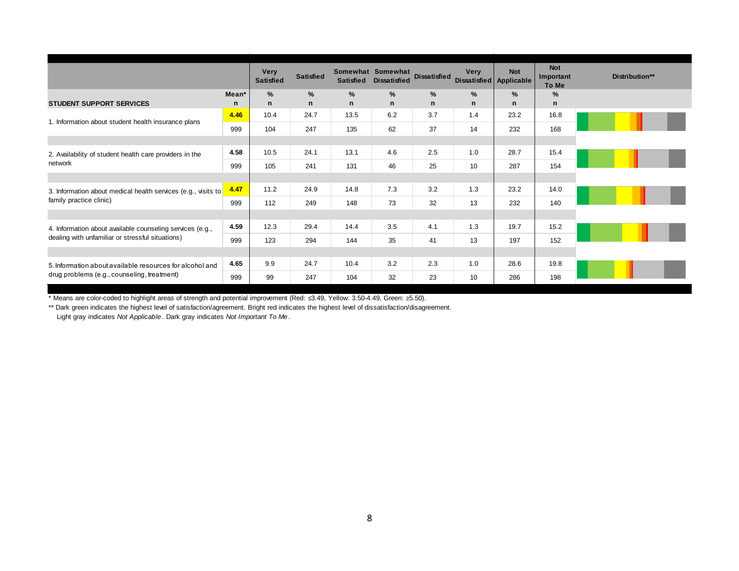|                                                               |                   | <b>Very</b><br><b>Satisfied</b> | <b>Satisfied</b>              | <b>Satisfied</b>  | Somewhat Somewhat<br><b>Dissatisfied</b> | <b>Dissatisfied</b> | <b>Verv</b>         | <b>Not</b><br>Dissatisfied Applicable | <b>Not</b><br>Important<br>To Me | Distribution** |
|---------------------------------------------------------------|-------------------|---------------------------------|-------------------------------|-------------------|------------------------------------------|---------------------|---------------------|---------------------------------------|----------------------------------|----------------|
| <b>STUDENT SUPPORT SERVICES</b>                               | Mean <sup>*</sup> | %<br>n                          | $\frac{9}{6}$<br>$\mathsf{n}$ | %<br>$\mathsf{n}$ | $\%$<br>$\mathsf{n}$                     | %<br>$\mathsf{n}$   | $\%$<br>$\mathbf n$ | $\%$<br>$\mathsf{n}$                  | %<br>$\mathsf{n}$                |                |
|                                                               | n                 |                                 |                               |                   |                                          |                     |                     |                                       |                                  |                |
| 1. Information about student health insurance plans           | 4.46              | 10.4                            | 24.7                          | 13.5              | 6.2                                      | 3.7                 | 1.4                 | 23.2                                  | 16.8                             |                |
|                                                               | 999               | 104                             | 247                           | 135               | 62                                       | 37                  | 14                  | 232                                   | 168                              |                |
|                                                               |                   |                                 |                               |                   |                                          |                     |                     |                                       |                                  |                |
| 2. Availability of student health care providers in the       | 4.58              | 10.5                            | 24.1                          | 13.1              | 4.6                                      | 2.5                 | 1.0                 | 28.7                                  | 15.4                             |                |
| network                                                       | 999               | 105                             | 241                           | 131               | 46                                       | 25                  | 10                  | 287                                   | 154                              |                |
|                                                               |                   |                                 |                               |                   |                                          |                     |                     |                                       |                                  |                |
| 3. Information about medical health services (e.g., visits to | 4.47              | 11.2                            | 24.9                          | 14.8              | 7.3                                      | 3.2                 | 1.3                 | 23.2                                  | 14.0                             |                |
| family practice clinic)                                       | 999               | 112                             | 249                           | 148               | 73                                       | 32                  | 13                  | 232                                   | 140                              |                |
|                                                               |                   |                                 |                               |                   |                                          |                     |                     |                                       |                                  |                |
| 4. Information about available counseling services (e.g.,     | 4.59              | 12.3                            | 29.4                          | 14.4              | 3.5                                      | 4.1                 | 1.3                 | 19.7                                  | 15.2                             |                |
| dealing with unfamiliar or stressful situations)              | 999               | 123                             | 294                           | 144               | 35                                       | 41                  | 13                  | 197                                   | 152                              |                |
|                                                               |                   |                                 |                               |                   |                                          |                     |                     |                                       |                                  |                |
| 5. Information about available resources for alcohol and      | 4.65              | 9.9                             | 24.7                          | 10.4              | 3.2                                      | 2.3                 | 1.0                 | 28.6                                  | 19.8                             |                |
| drug problems (e.g., counseling, treatment)                   | 999               | 99                              | 247                           | 104               | 32                                       | 23                  | 10                  | 286                                   | 198                              |                |

\*\* Dark green indicates the highest level of satisfaction/agreement. Bright red indicates the highest level of dissatisfaction/disagreement.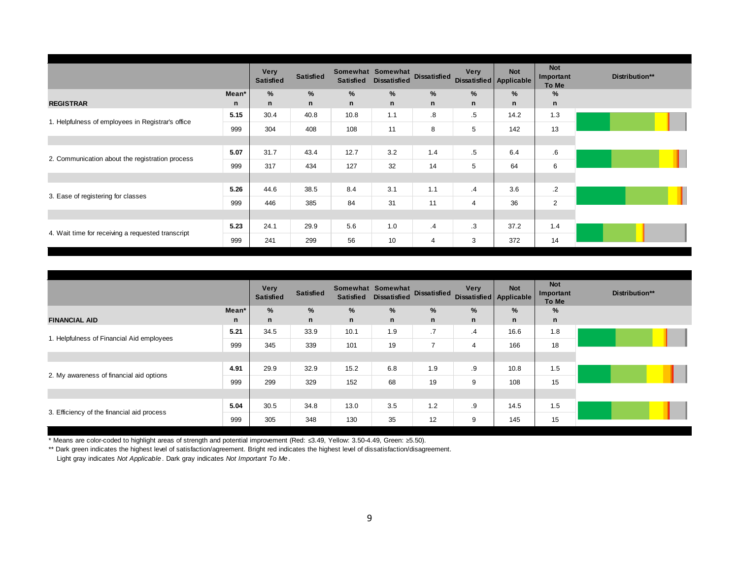|                                                   |       | <b>Very</b><br><b>Satisfied</b> | <b>Satisfied</b> | <b>Satisfied</b> | Somewhat Somewhat<br><b>Dissatisfied</b> | <b>Dissatisfied</b> | <b>Very</b>    | <b>Not</b><br>Dissatisfied Applicable | <b>Not</b><br>Important<br>To Me | Distribution** |
|---------------------------------------------------|-------|---------------------------------|------------------|------------------|------------------------------------------|---------------------|----------------|---------------------------------------|----------------------------------|----------------|
|                                                   | Mean* | $\%$                            | %                | %                | %                                        | %                   | %              | %                                     | %                                |                |
| <b>REGISTRAR</b>                                  | n     | n                               | n                | n                | $\mathsf{n}$                             | $\mathbf n$         | n              | $\mathsf{n}$                          | n                                |                |
| 1. Helpfulness of employees in Registrar's office | 5.15  | 30.4                            | 40.8             | 10.8             | 1.1                                      | $\boldsymbol{8}$    | $.5\,$         | 14.2                                  | 1.3                              |                |
|                                                   | 999   | 304                             | 408              | 108              | 11                                       | 8                   | 5              | 142                                   | 13                               |                |
|                                                   |       |                                 |                  |                  |                                          |                     |                |                                       |                                  |                |
| 2. Communication about the registration process   | 5.07  | 31.7                            | 43.4             | 12.7             | 3.2                                      | 1.4                 | $.5\,$         | 6.4                                   | $6 \cdot$                        |                |
|                                                   | 999   | 317                             | 434              | 127              | 32                                       | 14                  | 5              | 64                                    | 6                                |                |
|                                                   |       |                                 |                  |                  |                                          |                     |                |                                       |                                  |                |
| 3. Ease of registering for classes                | 5.26  | 44.6                            | 38.5             | 8.4              | 3.1                                      | 1.1                 | $\cdot$ 4      | 3.6                                   | $\cdot$ 2                        |                |
|                                                   | 999   | 446                             | 385              | 84               | 31                                       | 11                  | $\overline{4}$ | 36                                    | $\overline{2}$                   |                |
|                                                   |       |                                 |                  |                  |                                          |                     |                |                                       |                                  |                |
| 4. Wait time for receiving a requested transcript | 5.23  | 24.1                            | 29.9             | 5.6              | 1.0                                      | $\cdot$             | $\cdot$ 3      | 37.2                                  | 1.4                              |                |
|                                                   | 999   | 241                             | 299              | 56               | 10                                       | 4                   | 3              | 372                                   | 14                               |                |

|                                            |       | <b>Very</b><br><b>Satisfied</b> | <b>Satisfied</b> | <b>Satisfied</b> | Somewhat Somewhat<br><b>Dissatisfied</b> | <b>Dissatisfied</b> | <b>Very</b><br>Dissatisfied Applicable | <b>Not</b> | <b>Not</b><br>Important<br>To Me | Distribution** |
|--------------------------------------------|-------|---------------------------------|------------------|------------------|------------------------------------------|---------------------|----------------------------------------|------------|----------------------------------|----------------|
|                                            | Mean* | %                               | %                | %                | %                                        | %                   | %                                      | %          | %                                |                |
| <b>FINANCIAL AID</b>                       | n     | n                               | $\mathsf{n}$     | n                | n                                        | $\mathbf n$         | n                                      | n          | $\mathsf{n}$                     |                |
| 1. Helpfulness of Financial Aid employees  | 5.21  | 34.5                            | 33.9             | 10.1             | 1.9                                      | .7                  | $\cdot$ 4                              | 16.6       | 1.8                              |                |
|                                            | 999   | 345                             | 339              | 101              | 19                                       | $\overline{ }$      | 4                                      | 166        | 18                               |                |
|                                            |       |                                 |                  |                  |                                          |                     |                                        |            |                                  |                |
| 2. My awareness of financial aid options   | 4.91  | 29.9                            | 32.9             | 15.2             | 6.8                                      | 1.9                 | .9                                     | 10.8       | 1.5                              |                |
|                                            | 999   | 299                             | 329              | 152              | 68                                       | 19                  | 9                                      | 108        | 15                               |                |
|                                            |       |                                 |                  |                  |                                          |                     |                                        |            |                                  |                |
| 3. Efficiency of the financial aid process | 5.04  | 30.5                            | 34.8             | 13.0             | 3.5                                      | 1.2                 | .9                                     | 14.5       | 1.5                              |                |
|                                            | 999   | 305                             | 348              | 130              | 35                                       | 12                  | 9                                      | 145        | 15                               |                |

\*\* Dark green indicates the highest level of satisfaction/agreement. Bright red indicates the highest level of dissatisfaction/disagreement.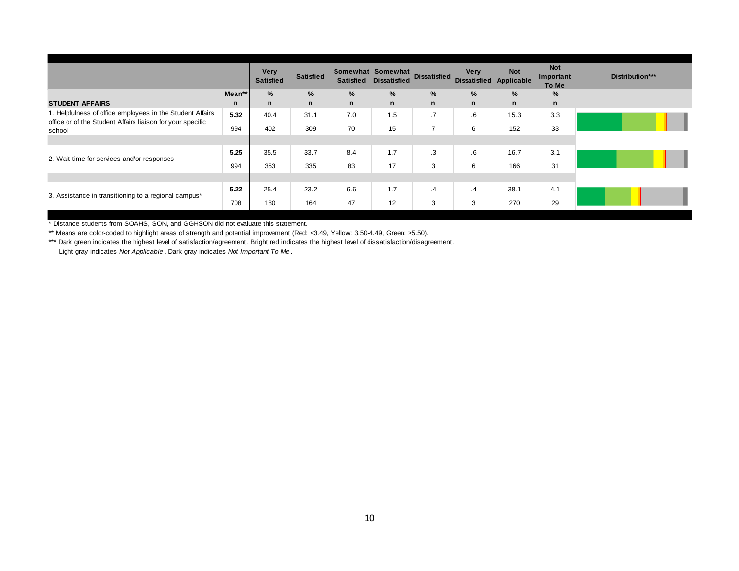|                                                                                                                         |        | <b>Very</b><br><b>Satisfied</b> | <b>Satisfied</b> | <b>Satisfied</b> | Somewhat Somewhat<br><b>Dissatisfied</b> | <b>Dissatisfied</b> | Very<br>Dissatisfied Applicable | <b>Not</b> | <b>Not</b><br>Important<br>To Me | Distribution*** |
|-------------------------------------------------------------------------------------------------------------------------|--------|---------------------------------|------------------|------------------|------------------------------------------|---------------------|---------------------------------|------------|----------------------------------|-----------------|
|                                                                                                                         | Mean** | ℅                               | %                | %                | %                                        | %                   | %                               | $\%$       | %                                |                 |
| <b>STUDENT AFFAIRS</b>                                                                                                  | n      | n                               | $\mathsf{n}$     | $\mathsf{n}$     | $\mathsf{n}$                             | n                   | n                               | n          | $\mathsf{n}$                     |                 |
| 1. Helpfulness of office employees in the Student Affairs<br>office or of the Student Affairs liaison for your specific | 5.32   | 40.4                            | 31.1             | 7.0              | 1.5                                      | .7                  | .6                              | 15.3       | 3.3                              |                 |
| school                                                                                                                  | 994    | 402                             | 309              | 70               | 15                                       | $\overline{ }$      | 6                               | 152        | 33                               |                 |
|                                                                                                                         |        |                                 |                  |                  |                                          |                     |                                 |            |                                  |                 |
| 2. Wait time for services and/or responses                                                                              | 5.25   | 35.5                            | 33.7             | 8.4              | 1.7                                      | .3                  | $6^{\circ}$                     | 16.7       | 3.1                              |                 |
|                                                                                                                         | 994    | 353                             | 335              | 83               | 17                                       | 3                   | 6                               | 166        | 31                               |                 |
|                                                                                                                         |        |                                 |                  |                  |                                          |                     |                                 |            |                                  |                 |
| 3. Assistance in transitioning to a regional campus*                                                                    | 5.22   | 25.4                            | 23.2             | 6.6              | 1.7                                      | .4                  | $\cdot$                         | 38.1       | 4.1                              |                 |
|                                                                                                                         | 708    | 180                             | 164              | 47               | 12                                       | 3                   | 3                               | 270        | 29                               |                 |

\* Distance students from SOAHS, SON, and GGHSON did not evaluate this statement.

\*\* Means are color-coded to highlight areas of strength and potential improvement (Red: ≤3.49, Yellow: 3.50-4.49, Green: ≥5.50).

\*\*\* Dark green indicates the highest level of satisfaction/agreement. Bright red indicates the highest level of dissatisfaction/disagreement. Light gray indicates *Not Applicable* . Dark gray indicates *Not Important To Me* .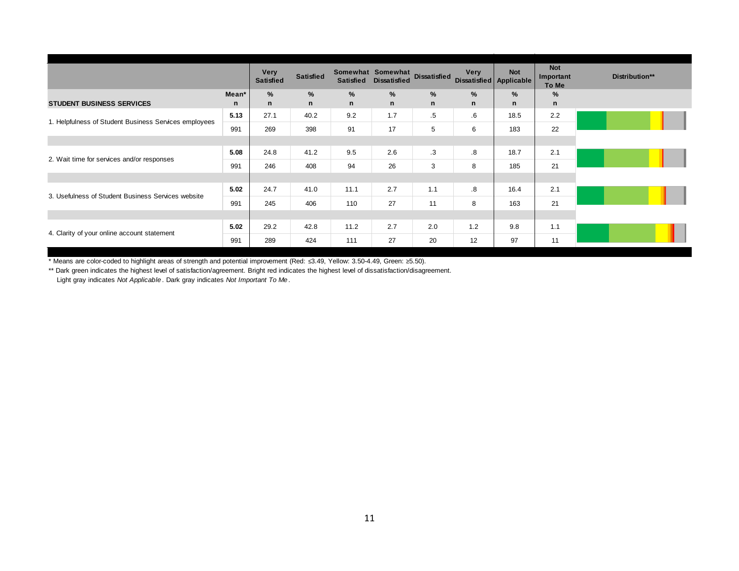|                                                       |       | <b>Very</b><br><b>Satisfied</b> | <b>Satisfied</b> | <b>Satisfied</b> | Somewhat Somewhat<br><b>Dissatisfied</b> | <b>Dissatisfied</b> | <b>Very</b><br>Dissatisfied Applicable | <b>Not</b> | <b>Not</b><br>Important<br>To Me | Distribution** |
|-------------------------------------------------------|-------|---------------------------------|------------------|------------------|------------------------------------------|---------------------|----------------------------------------|------------|----------------------------------|----------------|
|                                                       | Mean* | $\%$                            | %                | %                | $\%$                                     | %                   | $\frac{9}{6}$                          | $\%$       | %                                |                |
| <b>STUDENT BUSINESS SERVICES</b>                      | n     | n                               | $\mathsf{n}$     | n                | $\mathsf{n}$                             | $\mathsf{n}$        | n                                      | n          | $\mathsf{n}$                     |                |
| 1. Helpfulness of Student Business Services employees | 5.13  | 27.1                            | 40.2             | 9.2              | 1.7                                      | $.5\,$              | $.6\,$                                 | 18.5       | 2.2                              |                |
|                                                       | 991   | 269                             | 398              | 91               | 17                                       | 5                   | 6                                      | 183        | 22                               |                |
|                                                       |       |                                 |                  |                  |                                          |                     |                                        |            |                                  |                |
| 2. Wait time for services and/or responses            | 5.08  | 24.8                            | 41.2             | 9.5              | 2.6                                      | $\cdot$ 3           | .8                                     | 18.7       | 2.1                              |                |
|                                                       | 991   | 246                             | 408              | 94               | 26                                       | 3                   | 8                                      | 185        | 21                               |                |
|                                                       |       |                                 |                  |                  |                                          |                     |                                        |            |                                  |                |
| 3. Usefulness of Student Business Services website    | 5.02  | 24.7                            | 41.0             | 11.1             | 2.7                                      | 1.1                 | .8                                     | 16.4       | 2.1                              |                |
|                                                       | 991   | 245                             | 406              | 110              | 27                                       | 11                  | 8                                      | 163        | 21                               |                |
|                                                       |       |                                 |                  |                  |                                          |                     |                                        |            |                                  |                |
| 4. Clarity of your online account statement           | 5.02  | 29.2                            | 42.8             | 11.2             | 2.7                                      | 2.0                 | 1.2                                    | 9.8        | 1.1                              |                |
|                                                       | 991   | 289                             | 424              | 111              | 27                                       | 20                  | 12                                     | 97         | 11                               |                |

\*\* Dark green indicates the highest level of satisfaction/agreement. Bright red indicates the highest level of dissatisfaction/disagreement.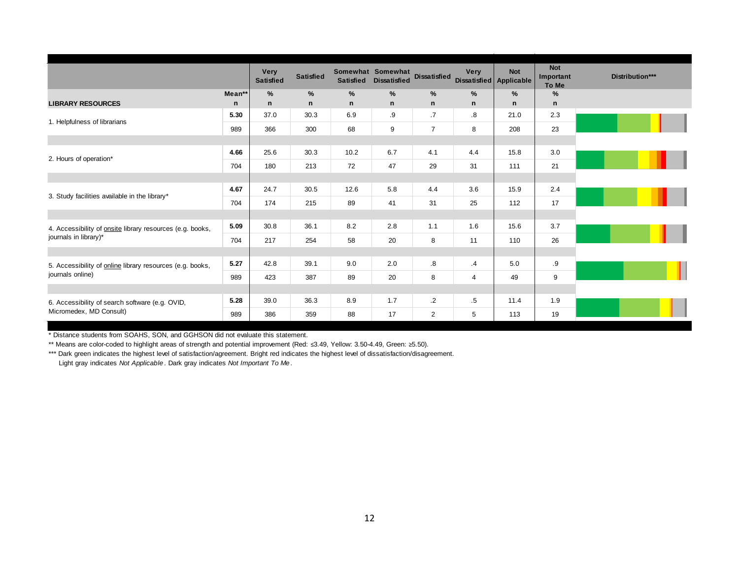|                                                                  |             | <b>Very</b><br><b>Satisfied</b> | <b>Satisfied</b>     | <b>Satisfied</b>   | Somewhat Somewhat Dissatisfied<br><b>Dissatisfied</b> |                | <b>Very</b><br>Dissatisfied Applicable | <b>Not</b> | <b>Not</b><br>Important<br>To Me |
|------------------------------------------------------------------|-------------|---------------------------------|----------------------|--------------------|-------------------------------------------------------|----------------|----------------------------------------|------------|----------------------------------|
| <b>LIBRARY RESOURCES</b>                                         | Mean**<br>n | $\%$<br>n                       | $\%$<br>$\mathsf{n}$ | $\frac{9}{6}$<br>n | $\%$<br>$\mathsf{n}$                                  | $\%$<br>n      | $\%$<br>$\mathsf{n}$                   | %<br>n     | %<br>$\mathsf{n}$                |
|                                                                  | 5.30        | 37.0                            | 30.3                 | 6.9                | .9                                                    | $\cdot$ 7      | $\boldsymbol{.8}$                      | 21.0       | 2.3                              |
| 1. Helpfulness of librarians                                     | 989         | 366                             | 300                  | 68                 | 9                                                     | $\overline{7}$ | 8                                      | 208        | 23                               |
|                                                                  |             |                                 |                      |                    |                                                       |                |                                        |            |                                  |
|                                                                  | 4.66        | 25.6                            | 30.3                 | 10.2               | 6.7                                                   | 4.1            | 4.4                                    | 15.8       | 3.0                              |
| 2. Hours of operation*                                           | 704         | 180                             | 213                  | 72                 | 47                                                    | 29             | 31                                     | 111        | 21                               |
|                                                                  |             |                                 |                      |                    |                                                       |                |                                        |            |                                  |
| 3. Study facilities available in the library*                    | 4.67        | 24.7                            | 30.5                 | 12.6               | 5.8                                                   | 4.4            | 3.6                                    | 15.9       | 2.4                              |
|                                                                  | 704         | 174                             | 215                  | 89                 | 41                                                    | 31             | 25                                     | 112        | 17                               |
|                                                                  |             |                                 |                      |                    |                                                       |                |                                        |            |                                  |
| 4. Accessibility of <b>onsite</b> library resources (e.g. books, | 5.09        | 30.8                            | 36.1                 | 8.2                | 2.8                                                   | 1.1            | 1.6                                    | 15.6       | 3.7                              |
| journals in library)*                                            | 704         | 217                             | 254                  | 58                 | 20                                                    | 8              | 11                                     | 110        | 26                               |
|                                                                  |             |                                 |                      |                    |                                                       |                |                                        |            |                                  |
| 5. Accessibility of online library resources (e.g. books,        | 5.27        | 42.8                            | 39.1                 | 9.0                | 2.0                                                   | .8             | $\cdot$ 4                              | 5.0        | .9                               |
| journals online)                                                 | 989         | 423                             | 387                  | 89                 | 20                                                    | 8              | $\overline{4}$                         | 49         | 9                                |
|                                                                  |             |                                 |                      |                    |                                                       |                |                                        |            |                                  |
| 6. Accessibility of search software (e.g. OVID,                  | 5.28        | 39.0                            | 36.3                 | 8.9                | 1.7                                                   | $\cdot$ 2      | $.5\,$                                 | 11.4       | 1.9                              |
| Micromedex, MD Consult)                                          | 989         | 386                             | 359                  | 88                 | 17                                                    | 2              | 5                                      | 113        | 19                               |

\* Distance students from SOAHS, SON, and GGHSON did not evaluate this statement.

\*\* Means are color-coded to highlight areas of strength and potential improvement (Red: ≤3.49, Yellow: 3.50-4.49, Green: ≥5.50).

\*\*\* Dark green indicates the highest level of satisfaction/agreement. Bright red indicates the highest level of dissatisfaction/disagreement.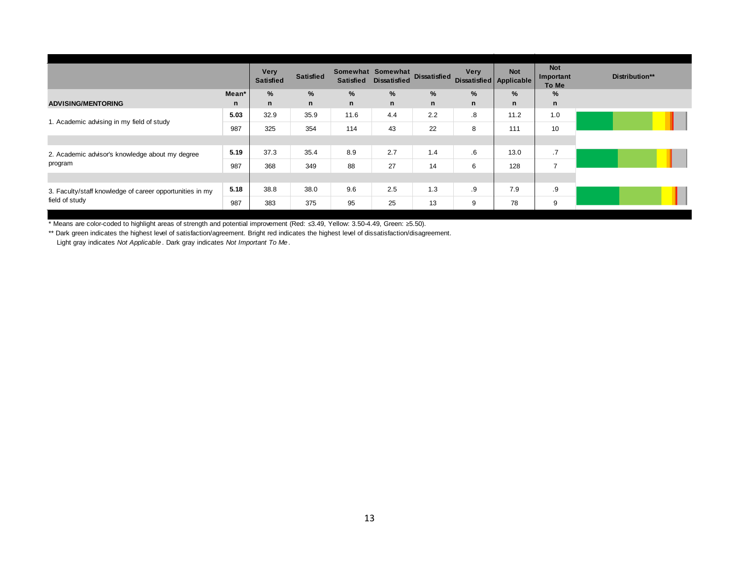|                                                          |       | <b>Very</b><br><b>Satisfied</b> | <b>Satisfied</b> | <b>Satisfied</b> | Somewhat Somewhat<br><b>Dissatisfied</b> | <b>Dissatisfied</b> | Very<br>Dissatisfied Applicable | <b>Not</b>    | <b>Not</b><br>Important<br>To Me | Distribution** |
|----------------------------------------------------------|-------|---------------------------------|------------------|------------------|------------------------------------------|---------------------|---------------------------------|---------------|----------------------------------|----------------|
|                                                          | Mean* | %                               | %                | %                | %                                        | %                   | $\frac{9}{6}$                   | $\frac{9}{6}$ | %                                |                |
| <b>ADVISING/MENTORING</b>                                | n     | n                               | n                | n                | n                                        | n                   | $\mathsf{n}$                    | n             | n                                |                |
| 1. Academic advising in my field of study                | 5.03  | 32.9                            | 35.9             | 11.6             | 4.4                                      | 2.2                 | $\cdot$ 8                       | 11.2          | 1.0                              |                |
|                                                          | 987   | 325                             | 354              | 114              | 43                                       | 22                  | 8                               | 111           | 10                               |                |
|                                                          |       |                                 |                  |                  |                                          |                     |                                 |               |                                  |                |
| 2. Academic advisor's knowledge about my degree          | 5.19  | 37.3                            | 35.4             | 8.9              | 2.7                                      | 1.4                 | $6^{\circ}$                     | 13.0          | .7                               |                |
| program                                                  | 987   | 368                             | 349              | 88               | 27                                       | 14                  | 6                               | 128           | $\overline{7}$                   |                |
|                                                          |       |                                 |                  |                  |                                          |                     |                                 |               |                                  |                |
| 3. Faculty/staff knowledge of career opportunities in my | 5.18  | 38.8                            | 38.0             | 9.6              | 2.5                                      | 1.3                 | .9                              | 7.9           | .9                               |                |
| field of study                                           | 987   | 383                             | 375              | 95               | 25                                       | 13                  | 9                               | 78            | 9                                |                |

\*\* Dark green indicates the highest level of satisfaction/agreement. Bright red indicates the highest level of dissatisfaction/disagreement.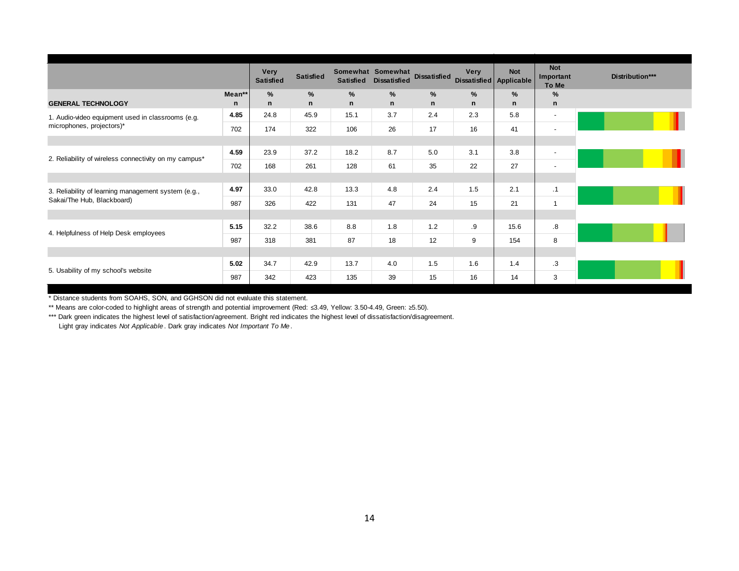|                                                       |             | <b>Very</b><br><b>Satisfied</b> | <b>Satisfied</b>  | <b>Satisfied</b> | Somewhat Somewhat<br><b>Dissatisfied</b> | <b>Dissatisfied</b> | Very<br>Dissatisfied Applicable | <b>Not</b> | <b>Not</b><br>Important<br>To Me | Distribution*** |
|-------------------------------------------------------|-------------|---------------------------------|-------------------|------------------|------------------------------------------|---------------------|---------------------------------|------------|----------------------------------|-----------------|
| <b>GENERAL TECHNOLOGY</b>                             | Mean**<br>n | $\%$<br>n                       | %<br>$\mathsf{n}$ | %<br>n           | $\%$<br>n                                | %<br>n              | $\%$<br>$\mathsf{n}$            | $\%$<br>n  | %<br>$\mathsf{n}$                |                 |
| 1. Audio-video equipment used in classrooms (e.g.     | 4.85        | 24.8                            | 45.9              | 15.1             | 3.7                                      | 2.4                 | 2.3                             | 5.8        | $\overline{\phantom{a}}$         |                 |
| microphones, projectors)*                             | 702         | 174                             | 322               | 106              | 26                                       | 17                  | 16                              | 41         | $\overline{\phantom{a}}$         |                 |
|                                                       |             |                                 |                   |                  |                                          |                     |                                 |            |                                  |                 |
| 2. Reliability of wireless connectivity on my campus* | 4.59        | 23.9                            | 37.2              | 18.2             | 8.7                                      | 5.0                 | 3.1                             | 3.8        | $\overline{\phantom{a}}$         |                 |
|                                                       | 702         | 168                             | 261               | 128              | 61                                       | 35                  | 22                              | 27         | $\overline{\phantom{a}}$         |                 |
|                                                       |             |                                 |                   |                  |                                          |                     |                                 |            |                                  |                 |
| 3. Reliability of learning management system (e.g.,   | 4.97        | 33.0                            | 42.8              | 13.3             | 4.8                                      | 2.4                 | 1.5                             | 2.1        | .1                               |                 |
| Sakai/The Hub, Blackboard)                            | 987         | 326                             | 422               | 131              | 47                                       | 24                  | 15                              | 21         | $\overline{1}$                   |                 |
|                                                       |             |                                 |                   |                  |                                          |                     |                                 |            |                                  |                 |
| 4. Helpfulness of Help Desk employees                 | 5.15        | 32.2                            | 38.6              | 8.8              | 1.8                                      | 1.2                 | .9                              | 15.6       | .8                               |                 |
|                                                       | 987         | 318                             | 381               | 87               | 18                                       | 12                  | 9                               | 154        | 8                                |                 |
|                                                       |             |                                 |                   |                  |                                          |                     |                                 |            |                                  |                 |
| 5. Usability of my school's website                   | 5.02        | 34.7                            | 42.9              | 13.7             | 4.0                                      | 1.5                 | 1.6                             | 1.4        | $\cdot$ 3                        |                 |
|                                                       | 987         | 342                             | 423               | 135              | 39                                       | 15                  | 16                              | 14         | 3                                |                 |

\* Distance students from SOAHS, SON, and GGHSON did not evaluate this statement.

\*\* Means are color-coded to highlight areas of strength and potential improvement (Red: ≤3.49, Yellow: 3.50-4.49, Green: ≥5.50).

\*\*\* Dark green indicates the highest level of satisfaction/agreement. Bright red indicates the highest level of dissatisfaction/disagreement.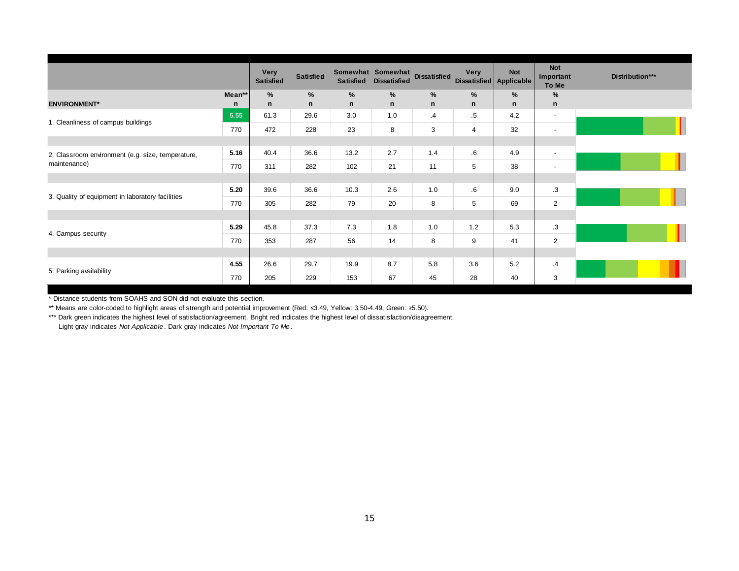|                                                   |        | <b>Very</b><br><b>Satisfied</b> | <b>Satisfied</b> | <b>Satisfied</b> | Somewhat Somewhat<br><b>Dissatisfied</b> | <b>Dissatisfied</b> | <b>Very</b>    | <b>Not</b><br>Dissatisfied Applicable | <b>Not</b><br>Important<br>To Me | Distribution*** |
|---------------------------------------------------|--------|---------------------------------|------------------|------------------|------------------------------------------|---------------------|----------------|---------------------------------------|----------------------------------|-----------------|
|                                                   | Mean** | %                               | %                | %                | %                                        | %                   | %              | %                                     | %                                |                 |
| <b>ENVIRONMENT*</b>                               | n      | n                               | $\mathsf{n}$     | $\mathsf{n}$     | $\mathsf{n}$                             | $\mathsf{n}$        | n              | n                                     | $\mathsf{n}$                     |                 |
| 1. Cleanliness of campus buildings                | 5.55   | 61.3                            | 29.6             | 3.0              | 1.0                                      | .4                  | .5             | 4.2                                   | $\overline{\phantom{a}}$         |                 |
|                                                   | 770    | 472                             | 228              | 23               | 8                                        | 3                   | $\overline{4}$ | 32                                    | $\blacksquare$                   |                 |
|                                                   |        |                                 |                  |                  |                                          |                     |                |                                       |                                  |                 |
| 2. Classroom environment (e.g. size, temperature, | 5.16   | 40.4                            | 36.6             | 13.2             | 2.7                                      | 1.4                 | $6^{\circ}$    | 4.9                                   | $\overline{\phantom{a}}$         |                 |
| maintenance)                                      | 770    | 311                             | 282              | 102              | 21                                       | 11                  | 5              | 38                                    | $\overline{\phantom{a}}$         |                 |
|                                                   |        |                                 |                  |                  |                                          |                     |                |                                       |                                  |                 |
|                                                   | 5.20   | 39.6                            | 36.6             | 10.3             | 2.6                                      | 1.0                 | $6^{\circ}$    | 9.0                                   | .3                               |                 |
| 3. Quality of equipment in laboratory facilities  | 770    | 305                             | 282              | 79               | 20                                       | 8                   | 5              | 69                                    | $\overline{2}$                   |                 |
|                                                   |        |                                 |                  |                  |                                          |                     |                |                                       |                                  |                 |
|                                                   | 5.29   | 45.8                            | 37.3             | 7.3              | 1.8                                      | 1.0                 | 1.2            | 5.3                                   | $\cdot$ 3                        |                 |
| 4. Campus security                                | 770    | 353                             | 287              | 56               | 14                                       | 8                   | 9              | 41                                    | $\overline{2}$                   |                 |
|                                                   |        |                                 |                  |                  |                                          |                     |                |                                       |                                  |                 |
|                                                   | 4.55   | 26.6                            | 29.7             | 19.9             | 8.7                                      | 5.8                 | 3.6            | 5.2                                   | $\cdot$ 4                        |                 |
| 5. Parking availability                           | 770    | 205                             | 229              | 153              | 67                                       | 45                  | 28             | 40                                    | 3                                |                 |

\* Distance students from SOAHS and SON did not evaluate this section.

\*\* Means are color-coded to highlight areas of strength and potential improvement (Red: ≤3.49, Yellow: 3.50-4.49, Green: ≥5.50).

\*\*\* Dark green indicates the highest level of satisfaction/agreement. Bright red indicates the highest level of dissatisfaction/disagreement.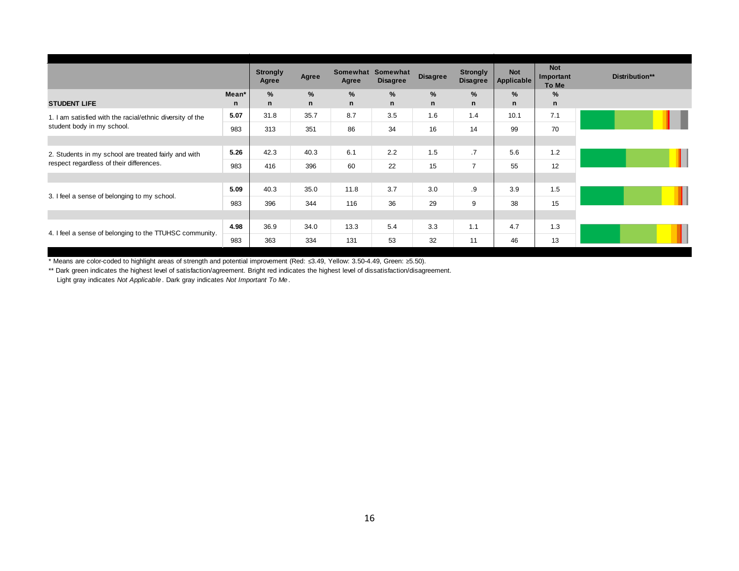|                                                           |       | <b>Strongly</b><br>Agree | Agree        | Agree        | Somewhat Somewhat<br><b>Disagree</b> | <b>Disagree</b> | <b>Strongly</b><br><b>Disagree</b> | <b>Not</b><br>Applicable | <b>Not</b><br>Important<br>To Me | Distribution** |
|-----------------------------------------------------------|-------|--------------------------|--------------|--------------|--------------------------------------|-----------------|------------------------------------|--------------------------|----------------------------------|----------------|
|                                                           | Mean* | %                        | %            | %            | %                                    | %               | %                                  | %                        | %                                |                |
| <b>STUDENT LIFE</b>                                       | n     | n                        | $\mathsf{n}$ | $\mathsf{n}$ | $\mathsf{n}$                         | n               | $\mathsf{n}$                       | n                        | $\mathsf{n}$                     |                |
| 1. I am satisfied with the racial/ethnic diversity of the | 5.07  | 31.8                     | 35.7         | 8.7          | 3.5                                  | 1.6             | 1.4                                | 10.1                     | 7.1                              |                |
| student body in my school.                                | 983   | 313                      | 351          | 86           | 34                                   | 16              | 14                                 | 99                       | 70                               |                |
|                                                           |       |                          |              |              |                                      |                 |                                    |                          |                                  |                |
| 2. Students in my school are treated fairly and with      | 5.26  | 42.3                     | 40.3         | 6.1          | 2.2                                  | 1.5             | .7                                 | 5.6                      | 1.2                              |                |
| respect regardless of their differences.                  | 983   | 416                      | 396          | 60           | 22                                   | 15              | $\overline{7}$                     | 55                       | 12                               |                |
|                                                           |       |                          |              |              |                                      |                 |                                    |                          |                                  |                |
|                                                           | 5.09  | 40.3                     | 35.0         | 11.8         | 3.7                                  | 3.0             | .9                                 | 3.9                      | 1.5                              |                |
| 3. I feel a sense of belonging to my school.              | 983   | 396                      | 344          | 116          | 36                                   | 29              | 9                                  | 38                       | 15                               |                |
|                                                           |       |                          |              |              |                                      |                 |                                    |                          |                                  |                |
| 4. I feel a sense of belonging to the TTUHSC community.   | 4.98  | 36.9                     | 34.0         | 13.3         | 5.4                                  | 3.3             | 1.1                                | 4.7                      | 1.3                              |                |
|                                                           | 983   | 363                      | 334          | 131          | 53                                   | 32              | 11                                 | 46                       | 13                               |                |

\*\* Dark green indicates the highest level of satisfaction/agreement. Bright red indicates the highest level of dissatisfaction/disagreement.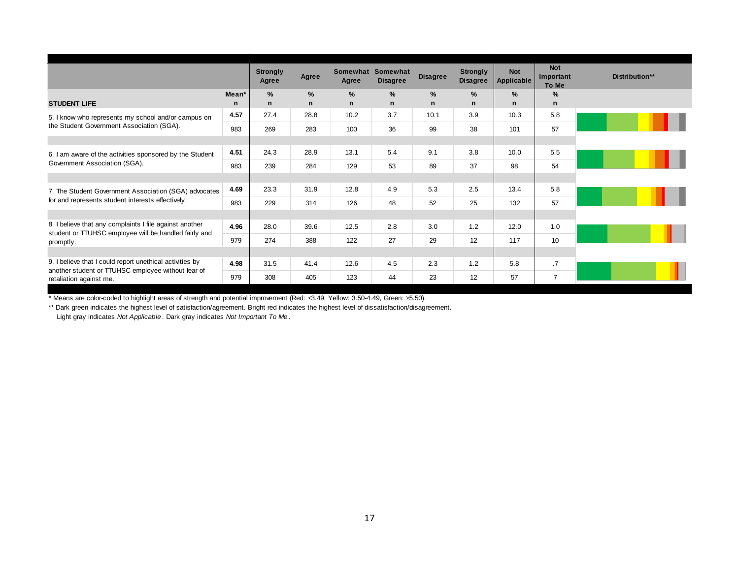|                                                                                                                  |       | <b>Strongly</b><br>Agree | Agree        | Agree        | Somewhat Somewhat<br><b>Disagree</b> | <b>Disagree</b> | <b>Strongly</b><br><b>Disagree</b> | <b>Not</b><br>Applicable | <b>Not</b><br>Important<br>To Me | Distribution** |
|------------------------------------------------------------------------------------------------------------------|-------|--------------------------|--------------|--------------|--------------------------------------|-----------------|------------------------------------|--------------------------|----------------------------------|----------------|
|                                                                                                                  | Mean* | $\%$                     | $\%$         | %            | %                                    | %               | %                                  | %                        | %                                |                |
| <b>STUDENT LIFE</b>                                                                                              | n     | n                        | $\mathsf{n}$ | $\mathsf{n}$ | $\mathsf{n}$                         | $\mathsf{n}$    | $\mathsf{n}$                       | n                        | $\mathsf{n}$                     |                |
| 5. I know who represents my school and/or campus on                                                              | 4.57  | 27.4                     | 28.8         | 10.2         | 3.7                                  | 10.1            | 3.9                                | 10.3                     | 5.8                              |                |
| the Student Government Association (SGA).                                                                        | 983   | 269                      | 283          | 100          | 36                                   | 99              | 38                                 | 101                      | 57                               |                |
|                                                                                                                  |       |                          |              |              |                                      |                 |                                    |                          |                                  |                |
| 6. I am aware of the activities sponsored by the Student                                                         | 4.51  | 24.3                     | 28.9         | 13.1         | 5.4                                  | 9.1             | 3.8                                | 10.0                     | 5.5                              |                |
| Government Association (SGA).                                                                                    | 983   | 239                      | 284          | 129          | 53                                   | 89              | 37                                 | 98                       | 54                               |                |
|                                                                                                                  |       |                          |              |              |                                      |                 |                                    |                          |                                  |                |
| 7. The Student Government Association (SGA) advocates                                                            | 4.69  | 23.3                     | 31.9         | 12.8         | 4.9                                  | 5.3             | 2.5                                | 13.4                     | 5.8                              |                |
| for and represents student interests effectively.                                                                | 983   | 229                      | 314          | 126          | 48                                   | 52              | 25                                 | 132                      | 57                               |                |
|                                                                                                                  |       |                          |              |              |                                      |                 |                                    |                          |                                  |                |
| 8. I believe that any complaints I file against another<br>student or TTUHSC employee will be handled fairly and | 4.96  | 28.0                     | 39.6         | 12.5         | 2.8                                  | 3.0             | 1.2                                | 12.0                     | 1.0                              |                |
| promptly.                                                                                                        | 979   | 274                      | 388          | 122          | 27                                   | 29              | 12                                 | 117                      | 10                               |                |
|                                                                                                                  |       |                          |              |              |                                      |                 |                                    |                          |                                  |                |
| 9. I believe that I could report unethical activities by<br>another student or TTUHSC employee without fear of   | 4.98  | 31.5                     | 41.4         | 12.6         | 4.5                                  | 2.3             | 1.2                                | 5.8                      | .7                               |                |
| retaliation against me.                                                                                          | 979   | 308                      | 405          | 123          | 44                                   | 23              | 12                                 | 57                       | $\overline{7}$                   |                |

\*\* Dark green indicates the highest level of satisfaction/agreement. Bright red indicates the highest level of dissatisfaction/disagreement.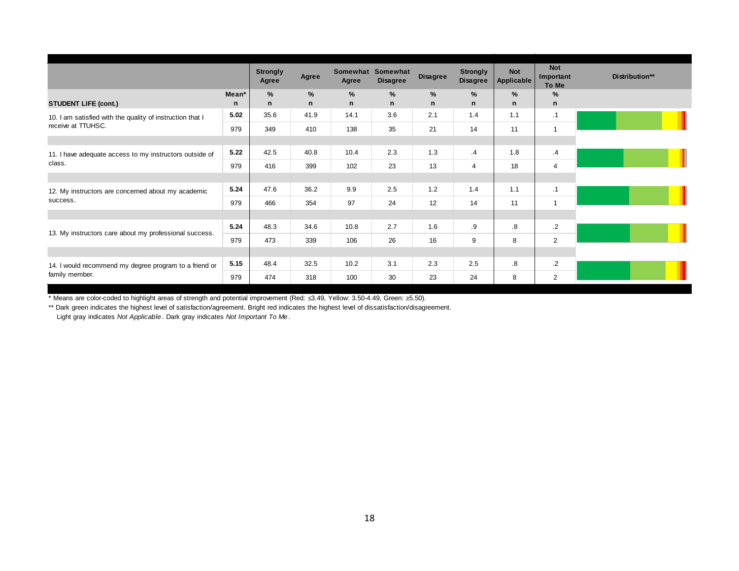|                                                           |       | <b>Strongly</b><br>Agree | Agree       | Somewhat<br>Agree | Somewhat<br><b>Disagree</b> | <b>Disagree</b> | <b>Strongly</b><br><b>Disagree</b> | <b>Not</b><br>Applicable | <b>Not</b><br>Important<br>To Me |  |
|-----------------------------------------------------------|-------|--------------------------|-------------|-------------------|-----------------------------|-----------------|------------------------------------|--------------------------|----------------------------------|--|
|                                                           | Mean* | %                        | $\%$        | %                 | %                           | %               | $\%$                               | %                        | %                                |  |
| <b>STUDENT LIFE (cont.)</b>                               | n     | n                        | $\mathbf n$ | $\mathsf{n}$      | $\mathsf{n}$                | n               | n                                  | n                        | $\mathsf{n}$                     |  |
| 10. I am satisfied with the quality of instruction that I | 5.02  | 35.6                     | 41.9        | 14.1              | 3.6                         | 2.1             | 1.4                                | 1.1                      | $\cdot$ 1                        |  |
| receive at TTUHSC.                                        | 979   | 349                      | 410         | 138               | 35                          | 21              | 14                                 | 11                       | $\mathbf{1}$                     |  |
|                                                           |       |                          |             |                   |                             |                 |                                    |                          |                                  |  |
| 11. I have adequate access to my instructors outside of   | 5.22  | 42.5                     | 40.8        | 10.4              | 2.3                         | 1.3             | $\cdot$                            | 1.8                      | $\cdot$ 4                        |  |
| class.                                                    | 979   | 416                      | 399         | 102               | 23                          | 13              | $\overline{4}$                     | 18                       | $\overline{4}$                   |  |
|                                                           |       |                          |             |                   |                             |                 |                                    |                          |                                  |  |
| 12. My instructors are concerned about my academic        | 5.24  | 47.6                     | 36.2        | 9.9               | 2.5                         | 1.2             | 1.4                                | 1.1                      | .1                               |  |
| success.                                                  | 979   | 466                      | 354         | 97                | 24                          | 12              | 14                                 | 11                       | $\overline{1}$                   |  |
|                                                           |       |                          |             |                   |                             |                 |                                    |                          |                                  |  |
| 13. My instructors care about my professional success.    | 5.24  | 48.3                     | 34.6        | 10.8              | 2.7                         | 1.6             | .9                                 | 8.5                      | $\cdot$                          |  |
|                                                           | 979   | 473                      | 339         | 106               | 26                          | 16              | 9                                  | 8                        | $\overline{2}$                   |  |
|                                                           |       |                          |             |                   |                             |                 |                                    |                          |                                  |  |
| 14. I would recommend my degree program to a friend or    | 5.15  | 48.4                     | 32.5        | 10.2              | 3.1                         | 2.3             | 2.5                                | $\boldsymbol{8}$         | $\cdot$                          |  |
| family member.                                            | 979   | 474                      | 318         | 100               | 30                          | 23              | 24                                 | 8                        | 2                                |  |

\*\* Dark green indicates the highest level of satisfaction/agreement. Bright red indicates the highest level of dissatisfaction/disagreement.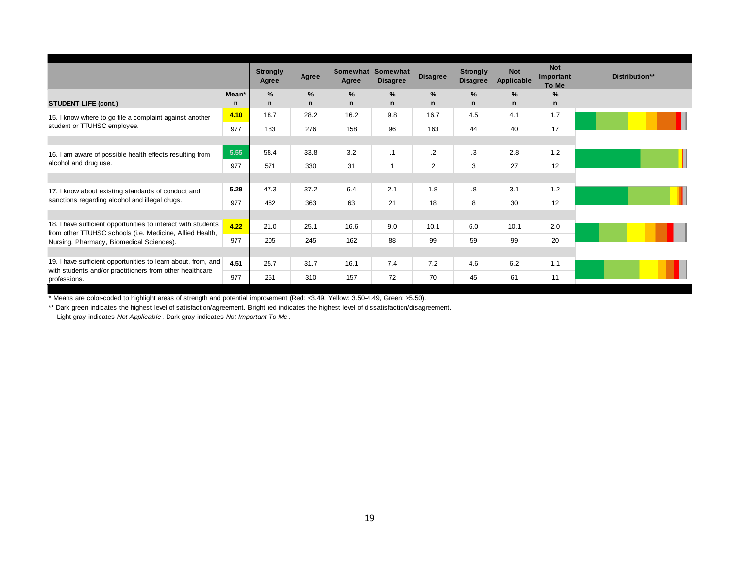|                                                                                                                           |                   | <b>Strongly</b><br>Agree | Agree        | Agree        | Somewhat Somewhat<br><b>Disagree</b> | <b>Disagree</b> | <b>Strongly</b><br><b>Disagree</b> | <b>Not</b><br><b>Applicable</b> | <b>Not</b><br>Important<br>To Me | Distribution** |
|---------------------------------------------------------------------------------------------------------------------------|-------------------|--------------------------|--------------|--------------|--------------------------------------|-----------------|------------------------------------|---------------------------------|----------------------------------|----------------|
|                                                                                                                           | Mean <sup>*</sup> | %                        | $\%$         | %            | %                                    | %               | $\frac{9}{6}$                      | $\%$                            | %                                |                |
| <b>STUDENT LIFE (cont.)</b>                                                                                               | n                 | $\mathsf{n}$             | $\mathsf{n}$ | $\mathsf{n}$ | $\mathsf{n}$                         | $\mathsf{n}$    | $\mathbf n$                        | $\mathbf n$                     | n                                |                |
| 15. I know where to go file a complaint against another                                                                   | 4.10              | 18.7                     | 28.2         | 16.2         | 9.8                                  | 16.7            | 4.5                                | 4.1                             | 1.7                              |                |
| student or TTUHSC employee.                                                                                               | 977               | 183                      | 276          | 158          | 96                                   | 163             | 44                                 | 40                              | 17                               |                |
|                                                                                                                           |                   |                          |              |              |                                      |                 |                                    |                                 |                                  |                |
| 16. I am aware of possible health effects resulting from                                                                  | 5.55              | 58.4                     | 33.8         | 3.2          | $\cdot$ 1                            | $\cdot$         | .3                                 | 2.8                             | 1.2                              |                |
| alcohol and drug use.                                                                                                     | 977               | 571                      | 330          | 31           |                                      | $\overline{2}$  | 3                                  | 27                              | 12                               |                |
|                                                                                                                           |                   |                          |              |              |                                      |                 |                                    |                                 |                                  |                |
| 17. I know about existing standards of conduct and                                                                        | 5.29              | 47.3                     | 37.2         | 6.4          | 2.1                                  | 1.8             | $\boldsymbol{.8}$                  | 3.1                             | 1.2                              |                |
| sanctions regarding alcohol and illegal drugs.                                                                            | 977               | 462                      | 363          | 63           | 21                                   | 18              | 8                                  | 30                              | 12                               |                |
|                                                                                                                           |                   |                          |              |              |                                      |                 |                                    |                                 |                                  |                |
| 18. I have sufficient opportunities to interact with students<br>from other TTUHSC schools (i.e. Medicine, Allied Health, | 4.22              | 21.0                     | 25.1         | 16.6         | 9.0                                  | 10.1            | 6.0                                | 10.1                            | 2.0                              |                |
| Nursing, Pharmacy, Biomedical Sciences).                                                                                  | 977               | 205                      | 245          | 162          | 88                                   | 99              | 59                                 | 99                              | 20                               |                |
|                                                                                                                           |                   |                          |              |              |                                      |                 |                                    |                                 |                                  |                |
| 19. I have sufficient opportunities to learn about, from, and<br>with students and/or practitioners from other healthcare | 4.51              | 25.7                     | 31.7         | 16.1         | 7.4                                  | 7.2             | 4.6                                | 6.2                             | 1.1                              |                |
| professions.                                                                                                              | 977               | 251                      | 310          | 157          | 72                                   | 70              | 45                                 | 61                              | 11                               |                |

\*\* Dark green indicates the highest level of satisfaction/agreement. Bright red indicates the highest level of dissatisfaction/disagreement.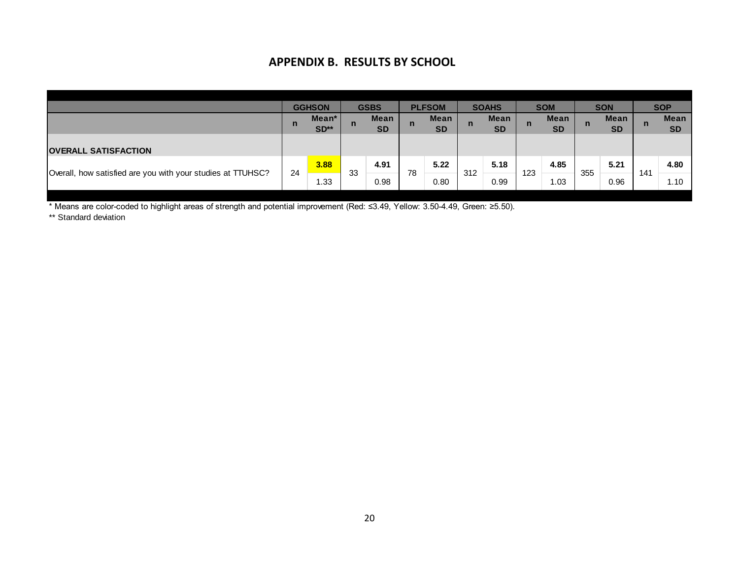# **APPENDIX B. RESULTS BY SCHOOL**

|                                                             | APPENDIX B. RESULIS BY SCHOOL |               |             |             |              |               |             |              |              |             |             |            |              |             |
|-------------------------------------------------------------|-------------------------------|---------------|-------------|-------------|--------------|---------------|-------------|--------------|--------------|-------------|-------------|------------|--------------|-------------|
|                                                             |                               |               |             |             |              |               |             |              |              |             |             |            |              |             |
|                                                             |                               |               |             |             |              |               |             |              |              |             |             |            |              |             |
|                                                             |                               | <b>GGHSON</b> |             | <b>GSBS</b> |              | <b>PLFSOM</b> |             | <b>SOAHS</b> |              | <b>SOM</b>  |             | <b>SON</b> |              | <b>SOP</b>  |
|                                                             | $\mathsf{n}$                  | Mean*         | $\mathbf n$ | <b>Mean</b> | $\mathsf{n}$ | <b>Mean</b>   | $\mathbf n$ | <b>Mean</b>  | $\mathsf{n}$ | <b>Mean</b> | $\mathbf n$ | Mean       | $\mathsf{n}$ | <b>Mean</b> |
|                                                             |                               | $SD**$        |             | <b>SD</b>   |              | <b>SD</b>     |             | <b>SD</b>    |              | <b>SD</b>   |             | <b>SD</b>  |              | <b>SD</b>   |
| <b>OVERALL SATISFACTION</b>                                 |                               |               |             |             |              |               |             |              |              |             |             |            |              |             |
|                                                             | 24                            | 3.88          | 33          | 4.91        | 78           | 5.22          | 312         | 5.18         | 123          | 4.85        | 355         | 5.21       | 141          | 4.80        |
| Overall, how satisfied are you with your studies at TTUHSC? |                               | 1.33          |             | 0.98        |              | 0.80          |             | 0.99         |              | 1.03        |             | 0.96       |              | 1.10        |

\* Means are color-coded to highlight areas of strength and potential improvement (Red: ≤3.49, Yellow: 3.50-4.49, Green: ≥5.50).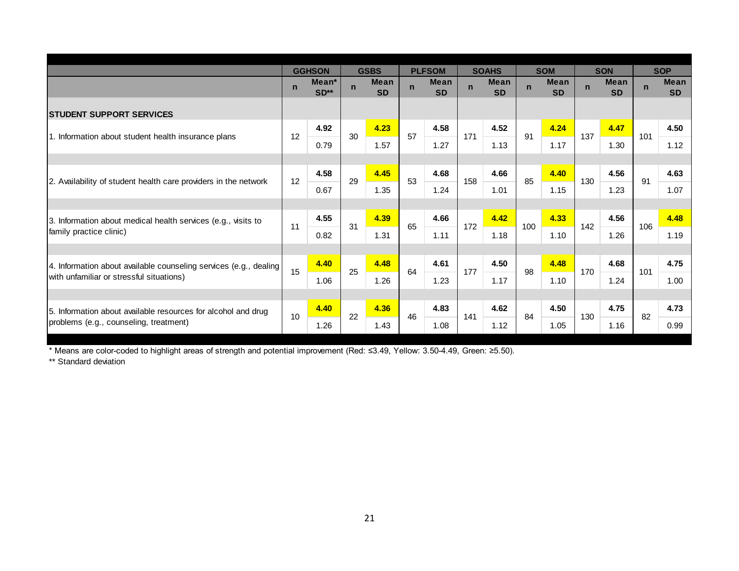|                                                                   |             | <b>GGHSON</b>   |              | <b>GSBS</b>              |              | <b>PLFSOM</b>            |              | <b>SOAHS</b>             |             | <b>SOM</b>               |             | <b>SON</b>               |             | <b>SOP</b>               |
|-------------------------------------------------------------------|-------------|-----------------|--------------|--------------------------|--------------|--------------------------|--------------|--------------------------|-------------|--------------------------|-------------|--------------------------|-------------|--------------------------|
|                                                                   | $\mathbf n$ | Mean*<br>$SD**$ | $\mathsf{n}$ | <b>Mean</b><br><b>SD</b> | $\mathsf{n}$ | <b>Mean</b><br><b>SD</b> | $\mathsf{n}$ | <b>Mean</b><br><b>SD</b> | $\mathbf n$ | <b>Mean</b><br><b>SD</b> | $\mathbf n$ | <b>Mean</b><br><b>SD</b> | $\mathbf n$ | <b>Mean</b><br><b>SD</b> |
| <b>ISTUDENT SUPPORT SERVICES</b>                                  |             |                 |              |                          |              |                          |              |                          |             |                          |             |                          |             |                          |
|                                                                   |             | 4.92            |              | 4.23                     |              | 4.58                     |              | 4.52                     |             | 4.24                     |             | 4.47                     |             | 4.50                     |
| 1. Information about student health insurance plans               | 12          | 0.79            | 30           | 1.57                     | 57           | 1.27                     | 171          | 1.13                     | 91          | 1.17                     | 137         | 1.30                     | 101         | 1.12                     |
|                                                                   |             |                 |              |                          |              |                          |              |                          |             |                          |             |                          |             |                          |
|                                                                   | 12          | 4.58            | 29           | 4.45                     | 53           | 4.68                     | 158          | 4.66                     | 85          | 4.40                     | 130         | 4.56                     | 91          | 4.63                     |
| 2. Availability of student health care providers in the network   |             | 0.67            |              | 1.35                     |              | 1.24                     |              | 1.01                     |             | 1.15                     |             | 1.23                     |             | 1.07                     |
|                                                                   |             |                 |              |                          |              |                          |              |                          |             |                          |             |                          |             |                          |
| 3. Information about medical health services (e.g., visits to     | 11          | 4.55            | 31           | 4.39                     | 65           | 4.66                     | 172          | 4.42                     | 100         | 4.33                     | 142         | 4.56                     | 106         | 4.48                     |
| family practice clinic)                                           |             | 0.82            |              | 1.31                     |              | 1.11                     |              | 1.18                     |             | 1.10                     |             | 1.26                     |             | 1.19                     |
|                                                                   |             |                 |              |                          |              |                          |              |                          |             |                          |             |                          |             |                          |
| 4. Information about available counseling services (e.g., dealing | 15          | 4.40            | 25           | 4.48                     | 64           | 4.61                     | 177          | 4.50                     | 98          | 4.48                     | 170         | 4.68                     | 101         | 4.75                     |
| with unfamiliar or stressful situations)                          |             | 1.06            |              | 1.26                     |              | 1.23                     |              | 1.17                     |             | 1.10                     |             | 1.24                     |             | 1.00                     |
|                                                                   |             |                 |              |                          |              |                          |              |                          |             |                          |             |                          |             |                          |
| 5. Information about available resources for alcohol and drug     | 10          | 4.40            | 22           | 4.36                     | 46           | 4.83                     | 141          | 4.62                     | 84          | 4.50                     | 130         | 4.75                     | 82          | 4.73                     |
| problems (e.g., counseling, treatment)                            |             | 1.26            |              | 1.43                     |              | 1.08                     |              | 1.12                     |             | 1.05                     |             | 1.16                     |             | 0.99                     |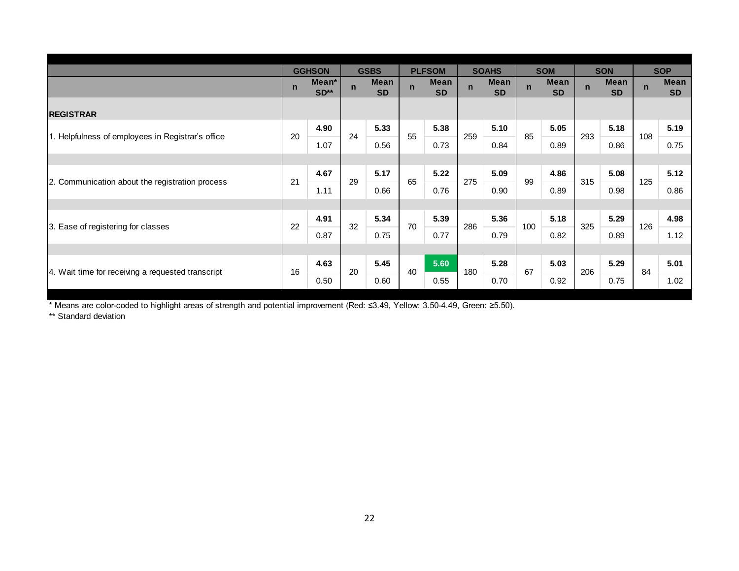|                                                   | $\mathsf{n}$ | <b>GGHSON</b><br>Mean*<br>$SD**$ | $\mathsf{n}$ | <b>GSBS</b><br><b>Mean</b><br><b>SD</b> | $\mathbf n$ | <b>PLFSOM</b><br><b>Mean</b><br><b>SD</b> | $\mathsf{n}$ | <b>SOAHS</b><br><b>Mean</b><br><b>SD</b> | $\mathbf n$ | <b>SOM</b><br><b>Mean</b><br><b>SD</b> | $\mathbf n$ | <b>SON</b><br><b>Mean</b><br><b>SD</b> | $\overline{p}$ | <b>SOP</b><br><b>Mean</b><br><b>SD</b> |
|---------------------------------------------------|--------------|----------------------------------|--------------|-----------------------------------------|-------------|-------------------------------------------|--------------|------------------------------------------|-------------|----------------------------------------|-------------|----------------------------------------|----------------|----------------------------------------|
| <b>REGISTRAR</b>                                  |              |                                  |              |                                         |             |                                           |              |                                          |             |                                        |             |                                        |                |                                        |
|                                                   | 20           | 4.90                             | 24           | 5.33                                    | 55          | 5.38                                      | 259          | 5.10                                     | 85          | 5.05                                   | 293         | 5.18                                   | 108            | 5.19                                   |
| 1. Helpfulness of employees in Registrar's office |              | 1.07                             |              | 0.56                                    |             | 0.73                                      |              | 0.84                                     |             | 0.89                                   |             | 0.86                                   |                | 0.75                                   |
|                                                   |              |                                  |              |                                         |             |                                           |              |                                          |             |                                        |             |                                        |                |                                        |
| 2. Communication about the registration process   | 21           | 4.67                             | 29           | 5.17                                    | 65          | 5.22                                      | 275          | 5.09                                     | 99          | 4.86                                   | 315         | 5.08                                   | 125            | 5.12                                   |
|                                                   |              | 1.11                             |              | 0.66                                    |             | 0.76                                      |              | 0.90                                     |             | 0.89                                   |             | 0.98                                   |                | 0.86                                   |
|                                                   |              |                                  |              |                                         |             |                                           |              |                                          |             |                                        |             |                                        |                |                                        |
| 3. Ease of registering for classes                | 22           | 4.91                             | 32           | 5.34                                    | 70          | 5.39                                      | 286          | 5.36                                     | 100         | 5.18                                   | 325         | 5.29                                   | 126            | 4.98                                   |
|                                                   |              | 0.87                             |              | 0.75                                    |             | 0.77                                      |              | 0.79                                     |             | 0.82                                   |             | 0.89                                   |                | 1.12                                   |
|                                                   |              |                                  |              |                                         |             |                                           |              |                                          |             |                                        |             |                                        |                |                                        |
| 4. Wait time for receiving a requested transcript | 16           | 4.63                             | 20           | 5.45                                    | 40          | 5.60                                      | 180          | 5.28                                     | 67          | 5.03                                   | 206         | 5.29                                   | 84             | 5.01                                   |
|                                                   |              | 0.50                             |              | 0.60                                    |             | 0.55                                      |              | 0.70                                     |             | 0.92                                   |             | 0.75                                   |                | 1.02                                   |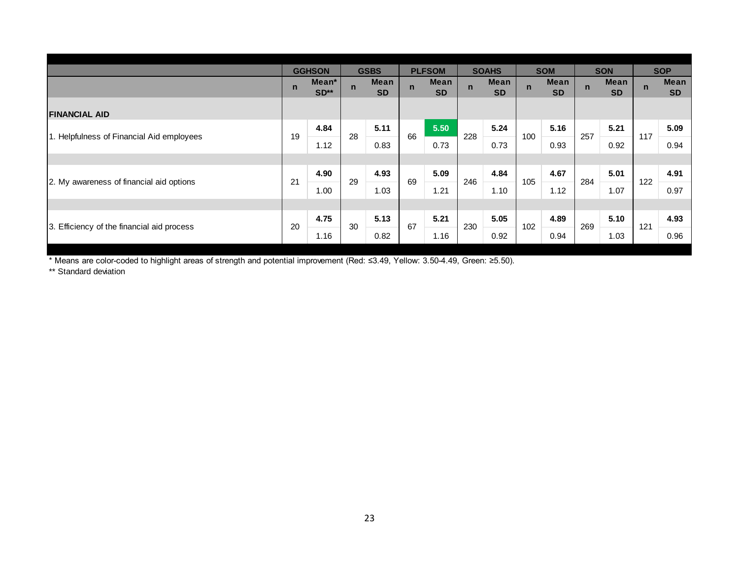|                                            |             | <b>GGHSON</b>   |             | <b>GSBS</b>              |              | <b>PLFSOM</b>            |             | <b>SOAHS</b>             |             | <b>SOM</b>               |             | <b>SON</b>               |             | <b>SOP</b>               |
|--------------------------------------------|-------------|-----------------|-------------|--------------------------|--------------|--------------------------|-------------|--------------------------|-------------|--------------------------|-------------|--------------------------|-------------|--------------------------|
|                                            | $\mathbf n$ | Mean*<br>$SD**$ | $\mathbf n$ | <b>Mean</b><br><b>SD</b> | $\mathbf{n}$ | <b>Mean</b><br><b>SD</b> | $\mathbf n$ | <b>Mean</b><br><b>SD</b> | $\mathbf n$ | <b>Mean</b><br><b>SD</b> | $\mathbf n$ | <b>Mean</b><br><b>SD</b> | $\mathbf n$ | <b>Mean</b><br><b>SD</b> |
| <b>FINANCIAL AID</b>                       |             |                 |             |                          |              |                          |             |                          |             |                          |             |                          |             |                          |
| 1. Helpfulness of Financial Aid employees  | 19          | 4.84            | 28          | 5.11                     | 66           | 5.50                     | 228         | 5.24                     | 100         | 5.16                     | 257         | 5.21                     | 117         | 5.09                     |
|                                            |             | 1.12            |             | 0.83                     |              | 0.73                     |             | 0.73                     |             | 0.93                     |             | 0.92                     |             | 0.94                     |
|                                            |             |                 |             |                          |              |                          |             |                          |             |                          |             |                          |             |                          |
| 2. My awareness of financial aid options   | 21          | 4.90            | 29          | 4.93                     | 69           | 5.09                     | 246         | 4.84                     | 105         | 4.67                     | 284         | 5.01                     | 122         | 4.91                     |
|                                            |             | 1.00            |             | 1.03                     |              | 1.21                     |             | 1.10                     |             | 1.12                     |             | 1.07                     |             | 0.97                     |
|                                            |             |                 |             |                          |              |                          |             |                          |             |                          |             |                          |             |                          |
|                                            | 20          | 4.75            | 30          | 5.13                     | 67           | 5.21                     | 230         | 5.05                     | 102         | 4.89                     | 269         | 5.10                     | 121         | 4.93                     |
| 3. Efficiency of the financial aid process |             | 1.16            |             | 0.82                     |              | 1.16                     |             | 0.92                     |             | 0.94                     |             | 1.03                     |             | 0.96                     |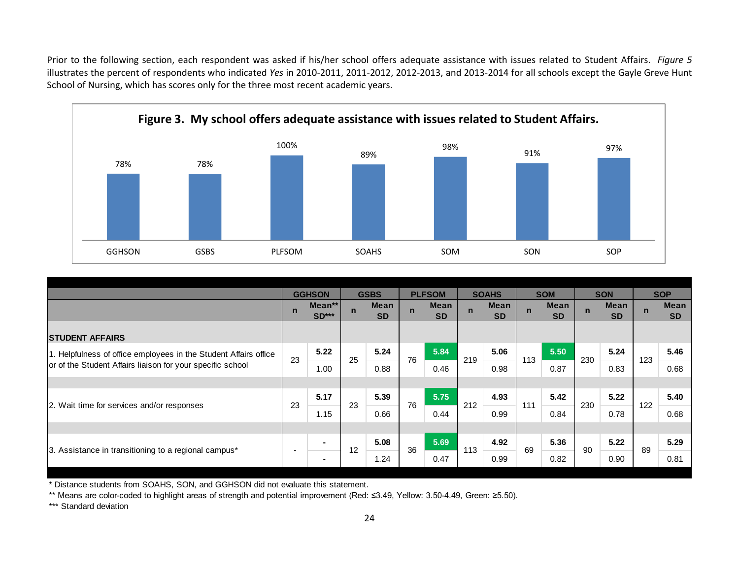Prior to the following section, each respondent was asked if his/her school offers adequate assistance with issues related to Student Affairs. *Figure 5* illustrates the percent of respondents who indicated *Yes* in 2010-2011, 2011-2012, 2012-2013, and 2013-2014 for all schools except the Gayle Greve Hunt School of Nursing, which has scores only for the three most recent academic years.



| <b>GGHSON</b><br><b>GSBS</b>                                     | PLFSOM      |                   |             | <b>SOAHS</b>      |             | SOM                      |              |                          | SON         |                   |             | SOP                      |             |                          |
|------------------------------------------------------------------|-------------|-------------------|-------------|-------------------|-------------|--------------------------|--------------|--------------------------|-------------|-------------------|-------------|--------------------------|-------------|--------------------------|
|                                                                  |             |                   |             |                   |             |                          |              |                          |             |                   |             |                          |             |                          |
|                                                                  |             | <b>GGHSON</b>     |             | <b>GSBS</b>       |             | <b>PLFSOM</b>            |              | <b>SOAHS</b>             |             | <b>SOM</b>        |             | <b>SON</b>               |             | <b>SOP</b>               |
|                                                                  | $\mathbf n$ | Mean**<br>$SD***$ | $\mathbf n$ | Mean<br><b>SD</b> | $\mathbf n$ | <b>Mean</b><br><b>SD</b> | $\mathsf{n}$ | <b>Mean</b><br><b>SD</b> | $\mathbf n$ | Mean<br><b>SD</b> | $\mathbf n$ | <b>Mean</b><br><b>SD</b> | $\mathbf n$ | <b>Mean</b><br><b>SD</b> |
| <b>STUDENT AFFAIRS</b>                                           |             |                   |             |                   |             |                          |              |                          |             |                   |             |                          |             |                          |
| 1. Helpfulness of office employees in the Student Affairs office |             | 5.22              |             | 5.24              |             | 5.84                     |              | 5.06                     |             | 5.50              |             | 5.24                     |             | 5.46                     |
| or of the Student Affairs liaison for your specific school       | 23          | 1.00              | 25          | 0.88              | 76          | 0.46                     | 219          | 0.98                     | 113         | 0.87              | 230         | 0.83                     | 123         | 0.68                     |
|                                                                  |             |                   |             |                   |             |                          |              |                          |             |                   |             |                          |             |                          |
|                                                                  | 23          | 5.17              | 23          | 5.39              | 76          | 5.75                     | 212          | 4.93                     | 111         | 5.42              | 230         | 5.22                     | 122         | 5.40                     |
| 2. Wait time for services and/or responses                       |             | 1.15              |             | 0.66              |             | 0.44                     |              | 0.99                     |             | 0.84              |             | 0.78                     |             | 0.68                     |
|                                                                  |             |                   |             |                   |             |                          |              |                          |             |                   |             |                          |             |                          |
|                                                                  |             | $\blacksquare$    | 12          | 5.08              | 36          | 5.69                     | 113          | 4.92                     | 69          | 5.36              | 90          | 5.22                     | 89          | 5.29                     |
| 3. Assistance in transitioning to a regional campus*             |             | ۰.                |             | 1.24              |             | 0.47                     |              | 0.99                     |             | 0.82              |             | 0.90                     |             | 0.81                     |
|                                                                  |             |                   |             |                   |             |                          |              |                          |             |                   |             |                          |             |                          |

\* Distance students from SOAHS, SON, and GGHSON did not evaluate this statement.

\*\* Means are color-coded to highlight areas of strength and potential improvement (Red: ≤3.49, Yellow: 3.50-4.49, Green: ≥5.50).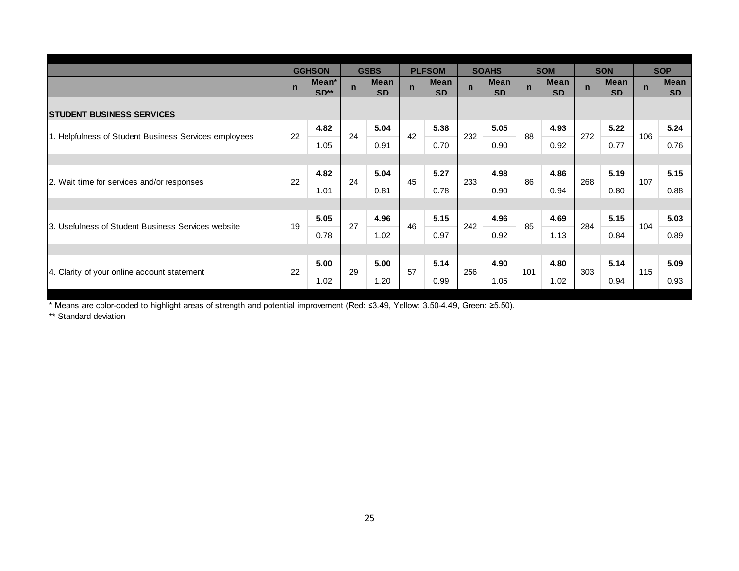|                                                       |             | <b>GGHSON</b>   |             | <b>GSBS</b>              |              | <b>PLFSOM</b>            |              | <b>SOAHS</b>             |             | <b>SOM</b>               |             | <b>SON</b>               |                | <b>SOP</b>               |
|-------------------------------------------------------|-------------|-----------------|-------------|--------------------------|--------------|--------------------------|--------------|--------------------------|-------------|--------------------------|-------------|--------------------------|----------------|--------------------------|
|                                                       | $\mathbf n$ | Mean*<br>$SD**$ | $\mathbf n$ | <b>Mean</b><br><b>SD</b> | $\mathsf{n}$ | <b>Mean</b><br><b>SD</b> | $\mathsf{n}$ | <b>Mean</b><br><b>SD</b> | $\mathbf n$ | <b>Mean</b><br><b>SD</b> | $\mathbf n$ | <b>Mean</b><br><b>SD</b> | $\overline{p}$ | <b>Mean</b><br><b>SD</b> |
| <b>STUDENT BUSINESS SERVICES</b>                      |             |                 |             |                          |              |                          |              |                          |             |                          |             |                          |                |                          |
| 1. Helpfulness of Student Business Services employees | 22          | 4.82            | 24          | 5.04                     | 42           | 5.38                     | 232          | 5.05                     | 88          | 4.93                     | 272         | 5.22                     | 106            | 5.24                     |
|                                                       |             | 1.05            |             | 0.91                     |              | 0.70                     |              | 0.90                     |             | 0.92                     |             | 0.77                     |                | 0.76                     |
|                                                       |             |                 |             |                          |              |                          |              |                          |             |                          |             |                          |                |                          |
| 2. Wait time for services and/or responses            | 22          | 4.82            | 24          | 5.04                     | 45           | 5.27                     | 233          | 4.98                     | 86          | 4.86                     | 268         | 5.19                     | 107            | 5.15                     |
|                                                       |             | 1.01            |             | 0.81                     |              | 0.78                     |              | 0.90                     |             | 0.94                     |             | 0.80                     |                | 0.88                     |
|                                                       |             |                 |             |                          |              |                          |              |                          |             |                          |             |                          |                |                          |
| 3. Usefulness of Student Business Services website    | 19          | 5.05            | 27          | 4.96                     | 46           | 5.15                     | 242          | 4.96                     | 85          | 4.69                     | 284         | 5.15                     | 104            | 5.03                     |
|                                                       |             | 0.78            |             | 1.02                     |              | 0.97                     |              | 0.92                     |             | 1.13                     |             | 0.84                     |                | 0.89                     |
|                                                       |             |                 |             |                          |              |                          |              |                          |             |                          |             |                          |                |                          |
| 4. Clarity of your online account statement           | 22          | 5.00            | 29          | 5.00                     | 57           | 5.14                     | 256          | 4.90                     | 101         | 4.80                     | 303         | 5.14                     | 115            | 5.09                     |
|                                                       |             | 1.02            |             | 1.20                     |              | 0.99                     |              | 1.05                     |             | 1.02                     |             | 0.94                     |                | 0.93                     |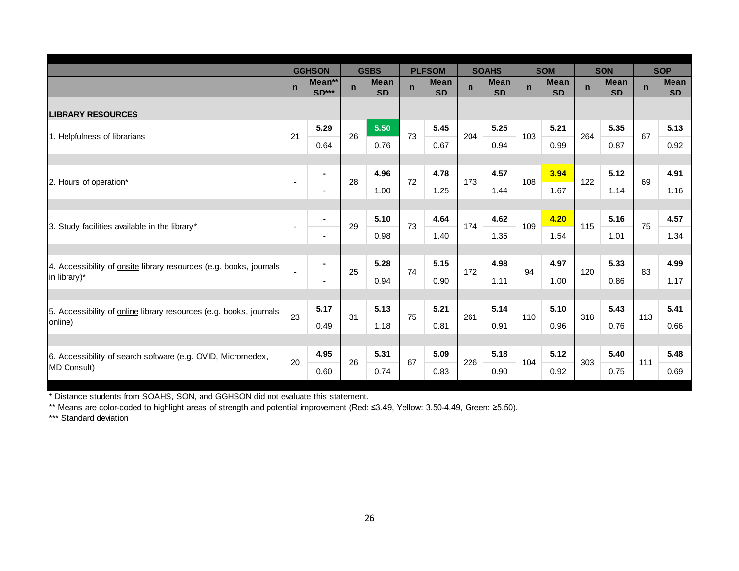|                                                                    |                | <b>GGHSON</b>     |              | <b>GSBS</b>              |             | <b>PLFSOM</b>            |             | <b>SOAHS</b>             |             | <b>SOM</b>               |              | <b>SON</b>               |             | <b>SOP</b>               |
|--------------------------------------------------------------------|----------------|-------------------|--------------|--------------------------|-------------|--------------------------|-------------|--------------------------|-------------|--------------------------|--------------|--------------------------|-------------|--------------------------|
|                                                                    | $\mathbf n$    | Mean**<br>$SD***$ | $\mathsf{n}$ | <b>Mean</b><br><b>SD</b> | $\mathbf n$ | <b>Mean</b><br><b>SD</b> | $\mathbf n$ | <b>Mean</b><br><b>SD</b> | $\mathbf n$ | <b>Mean</b><br><b>SD</b> | $\mathsf{n}$ | <b>Mean</b><br><b>SD</b> | $\mathbf n$ | <b>Mean</b><br><b>SD</b> |
| <b>LIBRARY RESOURCES</b>                                           |                |                   |              |                          |             |                          |             |                          |             |                          |              |                          |             |                          |
| 1. Helpfulness of librarians                                       | 21             | 5.29              | 26           | 5.50                     | 73          | 5.45                     | 204         | 5.25                     | 103         | 5.21                     | 264          | 5.35                     | 67          | 5.13                     |
|                                                                    |                | 0.64              |              | 0.76                     |             | 0.67                     |             | 0.94                     |             | 0.99                     |              | 0.87                     |             | 0.92                     |
|                                                                    |                |                   |              |                          |             |                          |             |                          |             |                          |              |                          |             |                          |
| 2. Hours of operation*                                             |                | $\blacksquare$    | 28           | 4.96                     | 72          | 4.78                     | 173         | 4.57                     | 108         | 3.94                     | 122          | 5.12                     | 69          | 4.91                     |
|                                                                    |                | $\blacksquare$    |              | 1.00                     |             | 1.25                     |             | 1.44                     |             | 1.67                     |              | 1.14                     |             | 1.16                     |
|                                                                    |                | $\blacksquare$    |              | 5.10                     |             | 4.64                     |             | 4.62                     |             | 4.20                     |              | 5.16                     |             | 4.57                     |
| 3. Study facilities available in the library*                      |                | $\blacksquare$    | 29           | 0.98                     | 73          | 1.40                     | 174         | 1.35                     | 109         | 1.54                     | 115          | 1.01                     | 75          | 1.34                     |
|                                                                    |                |                   |              |                          |             |                          |             |                          |             |                          |              |                          |             |                          |
| 4. Accessibility of onsite library resources (e.g. books, journals |                | $\blacksquare$    |              | 5.28                     |             | 5.15                     |             | 4.98                     |             | 4.97                     |              | 5.33                     |             | 4.99                     |
| in library)*                                                       | $\blacksquare$ | $\blacksquare$    | 25           | 0.94                     | 74          | 0.90                     | 172         | 1.11                     | 94          | 1.00                     | 120          | 0.86                     | 83          | 1.17                     |
|                                                                    |                |                   |              |                          |             |                          |             |                          |             |                          |              |                          |             |                          |
| 5. Accessibility of online library resources (e.g. books, journals | 23             | 5.17              | 31           | 5.13                     | 75          | 5.21                     | 261         | 5.14                     | 110         | 5.10                     | 318          | 5.43                     | 113         | 5.41                     |
| online)                                                            |                | 0.49              |              | 1.18                     |             | 0.81                     |             | 0.91                     |             | 0.96                     |              | 0.76                     |             | 0.66                     |
|                                                                    |                |                   |              |                          |             |                          |             |                          |             |                          |              |                          |             |                          |
| 6. Accessibility of search software (e.g. OVID, Micromedex,        | 20             | 4.95              | 26           | 5.31                     | 67          | 5.09                     | 226         | 5.18                     | 104         | 5.12                     | 303          | 5.40                     | 111         | 5.48                     |
| MD Consult)                                                        |                | 0.60              |              | 0.74                     |             | 0.83                     |             | 0.90                     |             | 0.92                     |              | 0.75                     |             | 0.69                     |

\* Distance students from SOAHS, SON, and GGHSON did not evaluate this statement.

\*\* Means are color-coded to highlight areas of strength and potential improvement (Red: ≤3.49, Yellow: 3.50-4.49, Green: ≥5.50).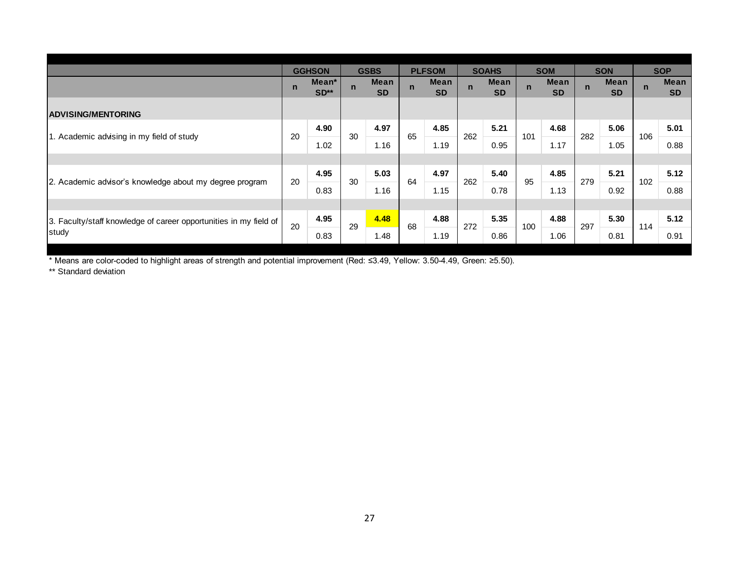|                                                                   |             | <b>GGHSON</b><br>Mean* |             | <b>GSBS</b><br><b>Mean</b> |              | <b>PLFSOM</b><br><b>Mean</b> |             | <b>SOAHS</b>             |              | <b>SOM</b>               |             | <b>SON</b><br><b>Mean</b> |             | <b>SOP</b><br><b>Mean</b> |
|-------------------------------------------------------------------|-------------|------------------------|-------------|----------------------------|--------------|------------------------------|-------------|--------------------------|--------------|--------------------------|-------------|---------------------------|-------------|---------------------------|
|                                                                   | $\mathbf n$ | SD**                   | $\mathbf n$ | <b>SD</b>                  | $\mathbf{n}$ | <b>SD</b>                    | $\mathbf n$ | <b>Mean</b><br><b>SD</b> | $\mathsf{n}$ | <b>Mean</b><br><b>SD</b> | $\mathbf n$ | <b>SD</b>                 | $\mathbf n$ | <b>SD</b>                 |
| <b>ADVISING/MENTORING</b>                                         |             |                        |             |                            |              |                              |             |                          |              |                          |             |                           |             |                           |
| 1. Academic advising in my field of study                         | 20          | 4.90                   | 30          | 4.97                       | 65           | 4.85                         | 262         | 5.21                     | 101          | 4.68                     | 282         | 5.06                      | 106         | 5.01                      |
|                                                                   |             | 1.02                   |             | 1.16                       |              | 1.19                         |             | 0.95                     |              | 1.17                     |             | 1.05                      |             | 0.88                      |
|                                                                   |             |                        |             |                            |              |                              |             |                          |              |                          |             |                           |             |                           |
| 2. Academic advisor's knowledge about my degree program           | 20          | 4.95                   | 30          | 5.03                       | 64           | 4.97                         | 262         | 5.40                     | 95           | 4.85                     | 279         | 5.21                      | 102         | 5.12                      |
|                                                                   |             | 0.83                   |             | 1.16                       |              | 1.15                         |             | 0.78                     |              | 1.13                     |             | 0.92                      |             | 0.88                      |
|                                                                   |             |                        |             |                            |              |                              |             |                          |              |                          |             |                           |             |                           |
| 3. Faculty/staff knowledge of career opportunities in my field of | 20          | 4.95                   | 29          | 4.48                       | 68           | 4.88                         | 272         | 5.35                     | 100          | 4.88                     | 297         | 5.30                      | 114         | 5.12                      |
| study                                                             |             | 0.83                   |             | 1.48                       |              | 1.19                         |             | 0.86                     |              | 1.06                     |             | 0.81                      |             | 0.91                      |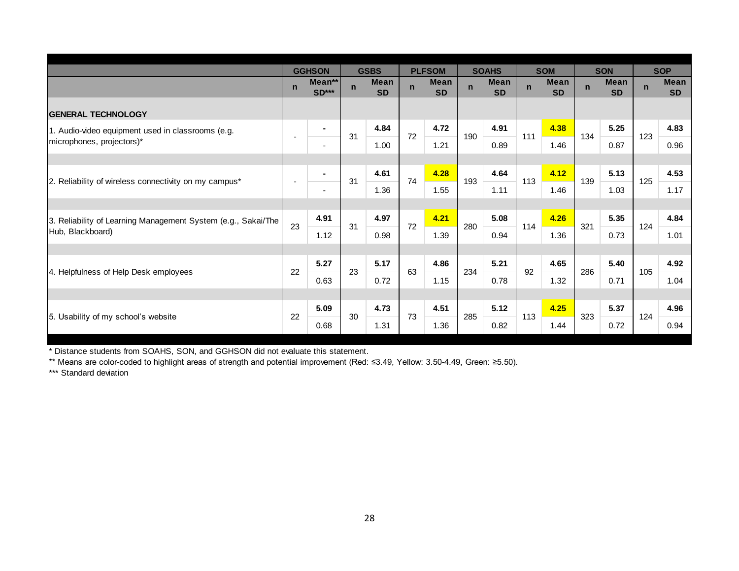|                                                               |             | <b>GGHSON</b>            |             | <b>GSBS</b>              |             | <b>PLFSOM</b>            |             | <b>SOAHS</b>             |             | <b>SOM</b>               |             | <b>SON</b>               |             | <b>SOP</b>               |
|---------------------------------------------------------------|-------------|--------------------------|-------------|--------------------------|-------------|--------------------------|-------------|--------------------------|-------------|--------------------------|-------------|--------------------------|-------------|--------------------------|
|                                                               | $\mathbf n$ | Mean**<br>$SD***$        | $\mathbf n$ | <b>Mean</b><br><b>SD</b> | $\mathbf n$ | <b>Mean</b><br><b>SD</b> | $\mathbf n$ | <b>Mean</b><br><b>SD</b> | $\mathbf n$ | <b>Mean</b><br><b>SD</b> | $\mathbf n$ | <b>Mean</b><br><b>SD</b> | $\mathbf n$ | <b>Mean</b><br><b>SD</b> |
| <b>GENERAL TECHNOLOGY</b>                                     |             |                          |             |                          |             |                          |             |                          |             |                          |             |                          |             |                          |
| 1. Audio-video equipment used in classrooms (e.g.             |             | $\blacksquare$           |             | 4.84                     |             | 4.72                     |             | 4.91                     |             | 4.38                     |             | 5.25                     |             | 4.83                     |
| microphones, projectors)*                                     |             | $\overline{\phantom{a}}$ | 31          | 1.00                     | 72          | 1.21                     | 190         | 0.89                     | 111         | 1.46                     | 134         | 0.87                     | 123         | 0.96                     |
|                                                               |             |                          |             |                          |             |                          |             |                          |             |                          |             |                          |             |                          |
|                                                               |             | $\blacksquare$           | 31          | 4.61                     | 74          | 4.28                     | 193         | 4.64                     | 113         | 4.12                     | 139         | 5.13                     | 125         | 4.53                     |
| 2. Reliability of wireless connectivity on my campus*         |             | $\overline{\phantom{a}}$ |             | 1.36                     |             | 1.55                     |             | 1.11                     |             | 1.46                     |             | 1.03                     |             | 1.17                     |
|                                                               |             |                          |             |                          |             |                          |             |                          |             |                          |             |                          |             |                          |
| 3. Reliability of Learning Management System (e.g., Sakai/The | 23          | 4.91                     | 31          | 4.97                     | 72          | 4.21                     | 280         | 5.08                     | 114         | 4.26                     | 321         | 5.35                     | 124         | 4.84                     |
| Hub, Blackboard)                                              |             | 1.12                     |             | 0.98                     |             | 1.39                     |             | 0.94                     |             | 1.36                     |             | 0.73                     |             | 1.01                     |
|                                                               |             |                          |             |                          |             |                          |             |                          |             |                          |             |                          |             |                          |
|                                                               | 22          | 5.27                     | 23          | 5.17                     | 63          | 4.86                     | 234         | 5.21                     | 92          | 4.65                     | 286         | 5.40                     | 105         | 4.92                     |
| 4. Helpfulness of Help Desk employees                         |             | 0.63                     |             | 0.72                     |             | 1.15                     |             | 0.78                     |             | 1.32                     |             | 0.71                     |             | 1.04                     |
|                                                               |             |                          |             |                          |             |                          |             |                          |             |                          |             |                          |             |                          |
|                                                               | 22          | 5.09                     | 30          | 4.73                     | 73          | 4.51                     | 285         | 5.12                     | 113         | 4.25                     | 323         | 5.37                     | 124         | 4.96                     |
| 5. Usability of my school's website                           |             | 0.68                     |             | 1.31                     |             | 1.36                     |             | 0.82                     |             | 1.44                     |             | 0.72                     |             | 0.94                     |

\* Distance students from SOAHS, SON, and GGHSON did not evaluate this statement.

\*\* Means are color-coded to highlight areas of strength and potential improvement (Red: ≤3.49, Yellow: 3.50-4.49, Green: ≥5.50).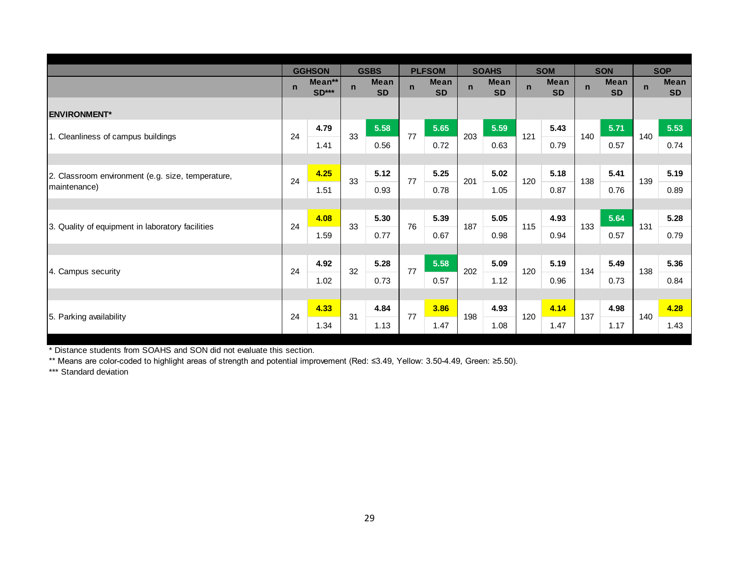|                                                   |             | <b>GGHSON</b>          |              | <b>GSBS</b>              |              | <b>PLFSOM</b>            |              | <b>SOAHS</b>             |              | <b>SOM</b>               |             | <b>SON</b>               |             | <b>SOP</b>               |
|---------------------------------------------------|-------------|------------------------|--------------|--------------------------|--------------|--------------------------|--------------|--------------------------|--------------|--------------------------|-------------|--------------------------|-------------|--------------------------|
|                                                   | $\mathbf n$ | Mean**<br><b>SD***</b> | $\mathsf{n}$ | <b>Mean</b><br><b>SD</b> | $\mathsf{n}$ | <b>Mean</b><br><b>SD</b> | $\mathsf{n}$ | <b>Mean</b><br><b>SD</b> | $\mathsf{n}$ | <b>Mean</b><br><b>SD</b> | $\mathbf n$ | <b>Mean</b><br><b>SD</b> | $\mathbf n$ | <b>Mean</b><br><b>SD</b> |
| <b>ENVIRONMENT*</b>                               |             |                        |              |                          |              |                          |              |                          |              |                          |             |                          |             |                          |
|                                                   |             | 4.79                   |              | 5.58                     |              | 5.65                     |              | 5.59                     |              | 5.43                     |             | 5.71                     |             | 5.53                     |
| 1. Cleanliness of campus buildings                | 24          | 1.41                   | 33           | 0.56                     | 77           | 0.72                     | 203          | 0.63                     | 121          | 0.79                     | 140         | 0.57                     | 140         | 0.74                     |
|                                                   |             |                        |              |                          |              |                          |              |                          |              |                          |             |                          |             |                          |
| 2. Classroom environment (e.g. size, temperature, | 24          | 4.25                   | 33           | 5.12                     | 77           | 5.25                     | 201          | 5.02                     | 120          | 5.18                     | 138         | 5.41                     | 139         | 5.19                     |
| maintenance)                                      |             | 1.51                   |              | 0.93                     |              | 0.78                     |              | 1.05                     |              | 0.87                     |             | 0.76                     |             | 0.89                     |
|                                                   |             |                        |              |                          |              |                          |              |                          |              |                          |             |                          |             |                          |
|                                                   | 24          | 4.08                   | 33           | 5.30                     | 76           | 5.39                     | 187          | 5.05                     | 115          | 4.93                     | 133         | 5.64                     | 131         | 5.28                     |
| 3. Quality of equipment in laboratory facilities  |             | 1.59                   |              | 0.77                     |              | 0.67                     |              | 0.98                     |              | 0.94                     |             | 0.57                     |             | 0.79                     |
|                                                   |             |                        |              |                          |              |                          |              |                          |              |                          |             |                          |             |                          |
|                                                   | 24          | 4.92                   | 32           | 5.28                     | 77           | 5.58                     | 202          | 5.09                     | 120          | 5.19                     | 134         | 5.49                     | 138         | 5.36                     |
| 4. Campus security                                |             | 1.02                   |              | 0.73                     |              | 0.57                     |              | 1.12                     |              | 0.96                     |             | 0.73                     |             | 0.84                     |
|                                                   |             |                        |              |                          |              |                          |              |                          |              |                          |             |                          |             |                          |
|                                                   | 24          | 4.33                   | 31           | 4.84                     | 77           | 3.86                     | 198          | 4.93                     | 120          | 4.14                     | 137         | 4.98                     | 140         | 4.28                     |
| 5. Parking availability                           |             | 1.34                   |              | 1.13                     |              | 1.47                     |              | 1.08                     |              | 1.47                     |             | 1.17                     |             | 1.43                     |

\* Distance students from SOAHS and SON did not evaluate this section.

\*\* Means are color-coded to highlight areas of strength and potential improvement (Red: ≤3.49, Yellow: 3.50-4.49, Green: ≥5.50).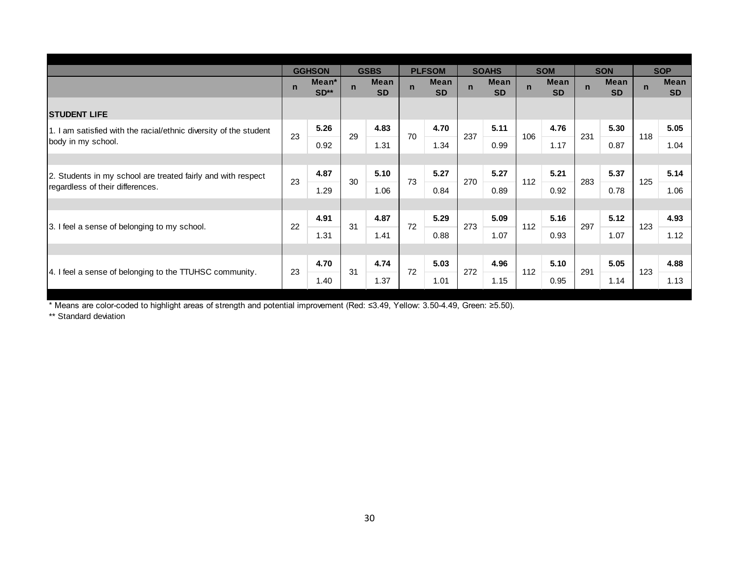|                                                                   | $\mathbf n$ | <b>GGHSON</b><br>Mean*<br>$SD**$ | $\mathbf n$ | <b>GSBS</b><br><b>Mean</b><br><b>SD</b> | $\mathbf n$ | <b>PLFSOM</b><br><b>Mean</b><br><b>SD</b> | $\mathsf{n}$ | <b>SOAHS</b><br><b>Mean</b><br><b>SD</b> | $\mathsf{n}$ | <b>SOM</b><br><b>Mean</b><br><b>SD</b> | $\mathbf n$ | <b>SON</b><br><b>Mean</b><br><b>SD</b> | $\overline{p}$ | <b>SOP</b><br><b>Mean</b><br><b>SD</b> |
|-------------------------------------------------------------------|-------------|----------------------------------|-------------|-----------------------------------------|-------------|-------------------------------------------|--------------|------------------------------------------|--------------|----------------------------------------|-------------|----------------------------------------|----------------|----------------------------------------|
| <b>STUDENT LIFE</b>                                               |             |                                  |             |                                         |             |                                           |              |                                          |              |                                        |             |                                        |                |                                        |
| 1. I am satisfied with the racial/ethnic diversity of the student | 23          | 5.26                             | 29          | 4.83                                    | 70          | 4.70                                      | 237          | 5.11                                     | 106          | 4.76                                   | 231         | 5.30                                   | 118            | 5.05                                   |
| body in my school.                                                |             | 0.92                             |             | 1.31                                    |             | 1.34                                      |              | 0.99                                     |              | 1.17                                   |             | 0.87                                   |                | 1.04                                   |
|                                                                   |             |                                  |             |                                         |             |                                           |              |                                          |              |                                        |             |                                        |                |                                        |
| 2. Students in my school are treated fairly and with respect      | 23          | 4.87                             | 30          | 5.10                                    | 73          | 5.27                                      | 270          | 5.27                                     | 112          | 5.21                                   | 283         | 5.37                                   | 125            | 5.14                                   |
| regardless of their differences.                                  |             | 1.29                             |             | 1.06                                    |             | 0.84                                      |              | 0.89                                     |              | 0.92                                   |             | 0.78                                   |                | 1.06                                   |
|                                                                   |             |                                  |             |                                         |             |                                           |              |                                          |              |                                        |             |                                        |                |                                        |
| 3. I feel a sense of belonging to my school.                      | 22          | 4.91                             | 31          | 4.87                                    | 72          | 5.29                                      | 273          | 5.09                                     | 112          | 5.16                                   | 297         | $5.12$                                 | 123            | 4.93                                   |
|                                                                   |             | 1.31                             |             | 1.41                                    |             | 0.88                                      |              | 1.07                                     |              | 0.93                                   |             | 1.07                                   |                | 1.12                                   |
|                                                                   |             |                                  |             |                                         |             |                                           |              |                                          |              |                                        |             |                                        |                |                                        |
| 4. I feel a sense of belonging to the TTUHSC community.           | 23          | 4.70                             | 31          | 4.74                                    | 72          | 5.03                                      | 272          | 4.96                                     | 112          | 5.10                                   | 291         | 5.05                                   | 123            | 4.88                                   |
|                                                                   |             | 1.40                             |             | 1.37                                    |             | 1.01                                      |              | 1.15                                     |              | 0.95                                   |             | 1.14                                   |                | 1.13                                   |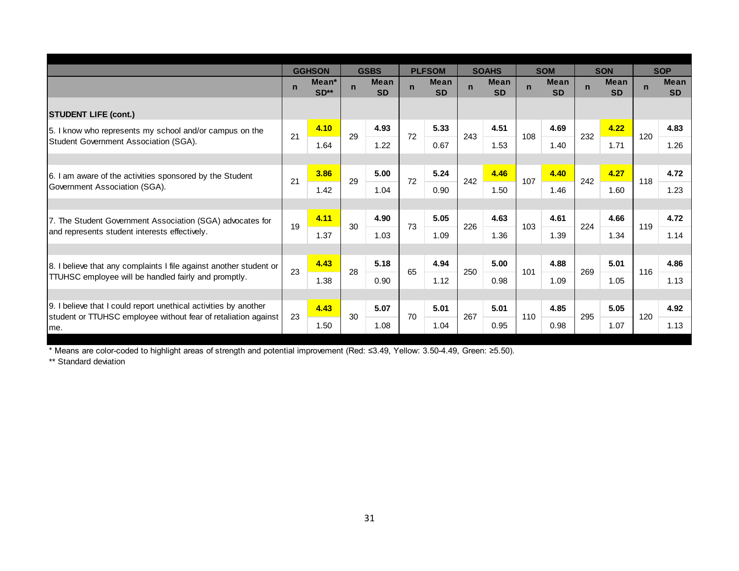|                                                                        |             | <b>GGHSON</b>               |             | <b>GSBS</b>              |              | <b>PLFSOM</b>            |             | <b>SOAHS</b>             |              | <b>SOM</b>               |             | <b>SON</b>               |             | <b>SOP</b>               |
|------------------------------------------------------------------------|-------------|-----------------------------|-------------|--------------------------|--------------|--------------------------|-------------|--------------------------|--------------|--------------------------|-------------|--------------------------|-------------|--------------------------|
|                                                                        | $\mathbf n$ | Mean <sup>*</sup><br>$SD**$ | $\mathbf n$ | <b>Mean</b><br><b>SD</b> | $\mathsf{n}$ | <b>Mean</b><br><b>SD</b> | $\mathbf n$ | <b>Mean</b><br><b>SD</b> | $\mathsf{n}$ | <b>Mean</b><br><b>SD</b> | $\mathbf n$ | <b>Mean</b><br><b>SD</b> | $\mathbf n$ | <b>Mean</b><br><b>SD</b> |
| <b>STUDENT LIFE (cont.)</b>                                            |             |                             |             |                          |              |                          |             |                          |              |                          |             |                          |             |                          |
| 15. I know who represents my school and/or campus on the               |             | 4.10                        |             | 4.93                     |              | 5.33                     |             | 4.51                     |              | 4.69                     |             | 4.22                     |             | 4.83                     |
| Student Government Association (SGA).                                  | 21          | 1.64                        | 29          | 1.22                     | 72           | 0.67                     | 243         | 1.53                     | 108          | 1.40                     | 232         | 1.71                     | 120         | 1.26                     |
|                                                                        |             |                             |             |                          |              |                          |             |                          |              |                          |             |                          |             |                          |
| 6. I am aware of the activities sponsored by the Student               | 21          | 3.86                        | 29          | 5.00                     | 72           | 5.24                     | 242         | 4.46                     | 107          | 4.40                     | 242         | 4.27                     | 118         | 4.72                     |
| Government Association (SGA).                                          |             | 1.42                        |             | 1.04                     |              | 0.90                     |             | 1.50                     |              | 1.46                     |             | 1.60                     |             | 1.23                     |
|                                                                        |             |                             |             |                          |              |                          |             |                          |              |                          |             |                          |             |                          |
| 7. The Student Government Association (SGA) advocates for              |             | 4.11                        |             | 4.90                     | 73           | 5.05                     |             | 4.63                     |              | 4.61                     | 224         | 4.66                     |             | 4.72                     |
| and represents student interests effectively.                          | 19          | 1.37                        | 30          | 1.03                     |              | 1.09                     | 226         | 1.36                     | 103          | 1.39                     |             | 1.34                     | 119         | 1.14                     |
|                                                                        |             |                             |             |                          |              |                          |             |                          |              |                          |             |                          |             |                          |
| 8. I believe that any complaints I file against another student or     | 23          | 4.43                        | 28          | 5.18                     | 65           | 4.94                     | 250         | 5.00                     | 101          | 4.88                     | 269         | 5.01                     | 116         | 4.86                     |
| TTUHSC employee will be handled fairly and promptly.                   |             | 1.38                        |             | 0.90                     |              | 1.12                     |             | 0.98                     |              | 1.09                     |             | 1.05                     |             | 1.13                     |
|                                                                        |             |                             |             |                          |              |                          |             |                          |              |                          |             |                          |             |                          |
| 9. I believe that I could report unethical activities by another       |             | 4.43                        |             | 5.07                     | 70           | 5.01                     | 267         | 5.01                     |              | 4.85                     |             | 5.05                     |             | 4.92                     |
| student or TTUHSC employee without fear of retaliation against<br>Ime. | 23          | 1.50                        | 30          | 1.08                     |              | 1.04                     |             | 0.95                     | 110          | 0.98                     | 295         | 1.07                     | 120         | 1.13                     |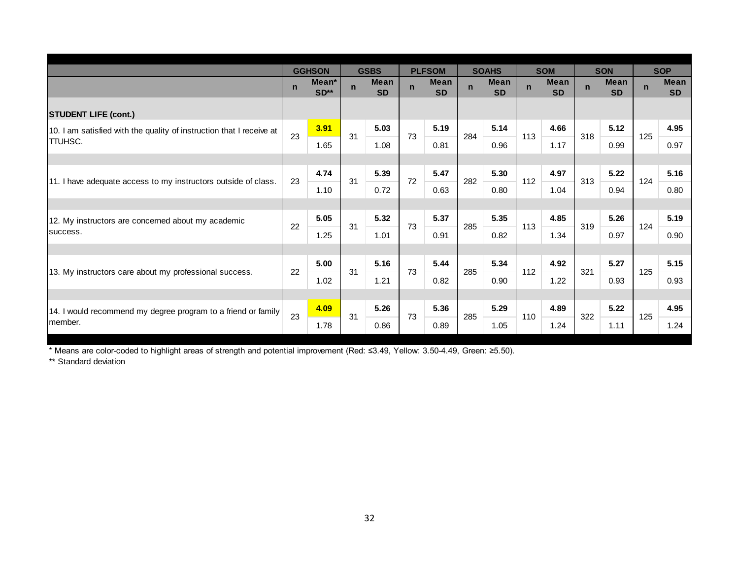|                                                                      |             | <b>GGHSON</b>               |             | <b>GSBS</b>              |              | <b>PLFSOM</b>            |             | <b>SOAHS</b>             |              | <b>SOM</b>               |             | <b>SON</b>               |             | <b>SOP</b>               |
|----------------------------------------------------------------------|-------------|-----------------------------|-------------|--------------------------|--------------|--------------------------|-------------|--------------------------|--------------|--------------------------|-------------|--------------------------|-------------|--------------------------|
|                                                                      | $\mathbf n$ | Mean <sup>*</sup><br>$SD**$ | $\mathbf n$ | <b>Mean</b><br><b>SD</b> | $\mathsf{n}$ | <b>Mean</b><br><b>SD</b> | $\mathbf n$ | <b>Mean</b><br><b>SD</b> | $\mathsf{n}$ | <b>Mean</b><br><b>SD</b> | $\mathbf n$ | <b>Mean</b><br><b>SD</b> | $\mathbf n$ | <b>Mean</b><br><b>SD</b> |
| <b>STUDENT LIFE (cont.)</b>                                          |             |                             |             |                          |              |                          |             |                          |              |                          |             |                          |             |                          |
| 10. I am satisfied with the quality of instruction that I receive at | 23          | 3.91                        |             | 5.03                     | 73           | 5.19                     | 284         | 5.14                     |              | 4.66                     | 318         | 5.12                     |             | 4.95                     |
| <b>TTUHSC.</b>                                                       |             | 1.65                        | 31          | 1.08                     |              | 0.81                     |             | 0.96                     | 113          | 1.17                     |             | 0.99                     | 125         | 0.97                     |
|                                                                      |             |                             |             |                          |              |                          |             |                          |              |                          |             |                          |             |                          |
|                                                                      | 23          | 4.74                        | 31          | 5.39                     | 72           | 5.47                     | 282         | 5.30                     | 112          | 4.97                     | 313         | 5.22                     | 124         | 5.16                     |
| 11. I have adequate access to my instructors outside of class.       |             | 1.10                        |             | 0.72                     |              | 0.63                     |             | 0.80                     |              | 1.04                     |             | 0.94                     |             | 0.80                     |
|                                                                      |             |                             |             |                          |              |                          |             |                          |              |                          |             |                          |             |                          |
| 12. My instructors are concerned about my academic                   | 22          | 5.05                        | 31          | 5.32                     | 73           | 5.37                     | 285         | 5.35                     | 113          | 4.85                     | 319         | 5.26                     | 124         | 5.19                     |
| success.                                                             |             | 1.25                        |             | 1.01                     |              | 0.91                     |             | 0.82                     |              | 1.34                     |             | 0.97                     |             | 0.90                     |
|                                                                      |             |                             |             |                          |              |                          |             |                          |              |                          |             |                          |             |                          |
|                                                                      | 22          | 5.00                        | 31          | 5.16                     | 73           | 5.44                     | 285         | 5.34                     | 112          | 4.92                     | 321         | 5.27                     | 125         | 5.15                     |
| 13. My instructors care about my professional success.               |             | 1.02                        |             | 1.21                     |              | 0.82                     |             | 0.90                     |              | 1.22                     |             | 0.93                     |             | 0.93                     |
|                                                                      |             |                             |             |                          |              |                          |             |                          |              |                          |             |                          |             |                          |
| 14. I would recommend my degree program to a friend or family        | 23          | 4.09                        | 31          | 5.26                     | 73           | 5.36                     | 285         | 5.29                     | 110          | 4.89                     | 322         | 5.22                     | 125         | 4.95                     |
| member.                                                              |             | 1.78                        |             | 0.86                     |              | 0.89                     |             | 1.05                     |              | 1.24                     |             | 1.11                     |             | 1.24                     |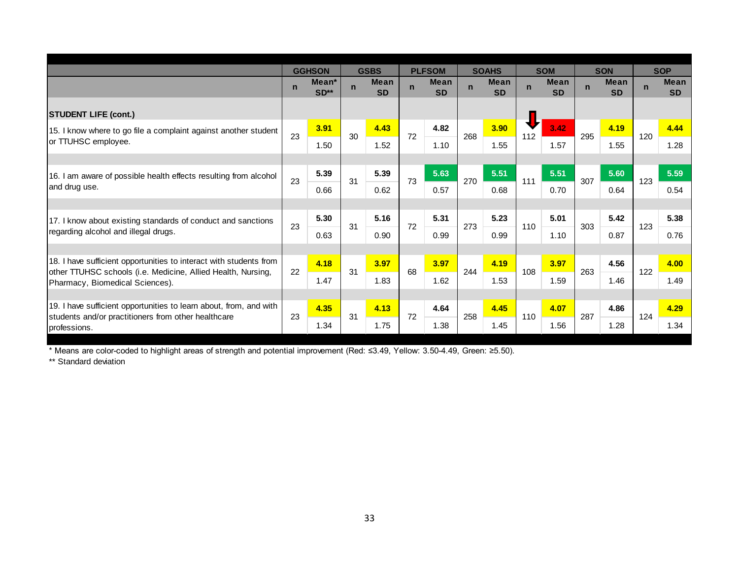|                                                                                                 |              | <b>GGHSON</b>               |             | <b>GSBS</b>              |             | <b>PLFSOM</b>            |             | <b>SOAHS</b>             |              | <b>SOM</b>               |             | <b>SON</b>               |             | <b>SOP</b>               |
|-------------------------------------------------------------------------------------------------|--------------|-----------------------------|-------------|--------------------------|-------------|--------------------------|-------------|--------------------------|--------------|--------------------------|-------------|--------------------------|-------------|--------------------------|
|                                                                                                 | $\mathsf{n}$ | Mean <sup>*</sup><br>$SD**$ | $\mathbf n$ | <b>Mean</b><br><b>SD</b> | $\mathbf n$ | <b>Mean</b><br><b>SD</b> | $\mathbf n$ | <b>Mean</b><br><b>SD</b> | $\mathsf{n}$ | <b>Mean</b><br><b>SD</b> | $\mathbf n$ | <b>Mean</b><br><b>SD</b> | $\mathbf n$ | <b>Mean</b><br><b>SD</b> |
| <b>STUDENT LIFE (cont.)</b>                                                                     |              |                             |             |                          |             |                          |             |                          |              |                          |             |                          |             |                          |
| 15. I know where to go file a complaint against another student                                 |              | 3.91                        | 30          | 4.43                     | 72          | 4.82                     | 268         | 3.90                     |              | 3.42                     |             | 4.19                     |             | 4.44                     |
| or TTUHSC employee.                                                                             | 23           | 1.50                        |             | 1.52                     |             | 1.10                     |             | 1.55                     | 112          | 1.57                     | 295         | 1.55                     | 120         | 1.28                     |
|                                                                                                 |              |                             |             |                          |             |                          |             |                          |              |                          |             |                          |             |                          |
| 16. I am aware of possible health effects resulting from alcohol                                | 23           | 5.39                        | 31          | 5.39                     | 73          | 5.63                     | 270         | 5.51                     | 111          | 5.51                     | 307         | 5.60                     | 123         | 5.59                     |
| and drug use.                                                                                   |              | 0.66                        |             | 0.62                     |             | 0.57                     |             | 0.68                     |              | 0.70                     |             | 0.64                     |             | 0.54                     |
|                                                                                                 |              |                             |             |                          |             |                          |             |                          |              |                          |             |                          |             |                          |
| 17. I know about existing standards of conduct and sanctions                                    | 23           | 5.30                        | 31          | 5.16                     | 72          | 5.31                     | 273         | 5.23                     | 110          | 5.01                     | 303         | 5.42                     | 123         | 5.38                     |
| regarding alcohol and illegal drugs.                                                            |              | 0.63                        |             | 0.90                     |             | 0.99                     |             | 0.99                     |              | 1.10                     |             | 0.87                     |             | 0.76                     |
|                                                                                                 |              |                             |             |                          |             |                          |             |                          |              |                          |             |                          |             |                          |
| 18. I have sufficient opportunities to interact with students from                              |              | 4.18                        | 31          | 3.97                     | 68          | 3.97                     | 244         | 4.19                     | 108          | 3.97                     | 263         | 4.56                     | 122         | 4.00                     |
| other TTUHSC schools (i.e. Medicine, Allied Health, Nursing,<br>Pharmacy, Biomedical Sciences). | 22           | 1.47                        |             | 1.83                     |             | 1.62                     |             | 1.53                     |              | 1.59                     |             | 1.46                     |             | 1.49                     |
|                                                                                                 |              |                             |             |                          |             |                          |             |                          |              |                          |             |                          |             |                          |
| 19. I have sufficient opportunities to learn about, from, and with                              |              | 4.35                        | 31          | 4.13                     | 72          | 4.64                     | 258         | 4.45                     | 110          | 4.07                     | 287         | 4.86                     | 124         | 4.29                     |
| students and/or practitioners from other healthcare<br>professions.                             | 23           | 1.34                        |             | 1.75                     |             | 1.38                     |             | 1.45                     |              | 1.56                     |             | 1.28                     |             | 1.34                     |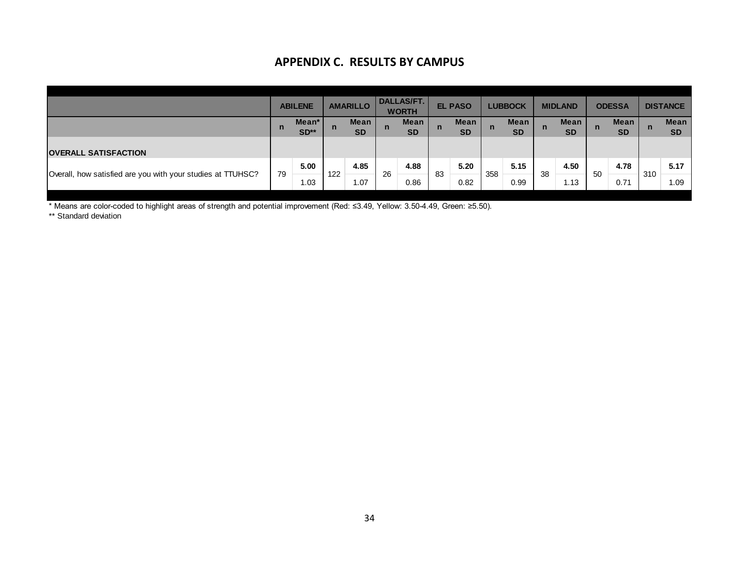## **APPENDIX C. RESULTS BY CAMPUS**

|                                                             |             | лі і січріл сі інсэрсіэ рі слічі рэ |             |                   |             |                                   |             |                   |             |                          |    |                   |    |                   |             |                          |
|-------------------------------------------------------------|-------------|-------------------------------------|-------------|-------------------|-------------|-----------------------------------|-------------|-------------------|-------------|--------------------------|----|-------------------|----|-------------------|-------------|--------------------------|
|                                                             |             | <b>ABILENE</b>                      |             | <b>AMARILLO</b>   |             | <b>DALLAS/FT.</b><br><b>WORTH</b> |             | <b>EL PASO</b>    |             | <b>LUBBOCK</b>           |    | <b>MIDLAND</b>    |    | <b>ODESSA</b>     |             | <b>DISTANCE</b>          |
|                                                             | $\mathbf n$ | Mean*<br>$SD**$                     | $\mathbf n$ | Mean<br><b>SD</b> | $\mathbf n$ | <b>Mean</b><br><b>SD</b>          | $\mathbf n$ | Mean<br><b>SD</b> | $\mathbf n$ | <b>Mean</b><br><b>SD</b> | n  | Mean<br><b>SD</b> | n  | Mean<br><b>SD</b> | $\mathbf n$ | <b>Mean</b><br><b>SD</b> |
| <b>OVERALL SATISFACTION</b>                                 |             |                                     |             |                   |             |                                   |             |                   |             |                          |    |                   |    |                   |             |                          |
| Overall, how satisfied are you with your studies at TTUHSC? | 79          | 5.00                                | 122         | 4.85              | 26          | 4.88                              | 83          | 5.20              | 358         | 5.15                     | 38 | 4.50              | 50 | 4.78              | 310         | 5.17                     |
|                                                             |             | 1.03                                |             | 1.07              |             | 0.86                              |             | 0.82              |             | 0.99                     |    | 1.13              |    | 0.71              |             | 1.09                     |

\* Means are color-coded to highlight areas of strength and potential improvement (Red: ≤3.49, Yellow: 3.50-4.49, Green: ≥5.50).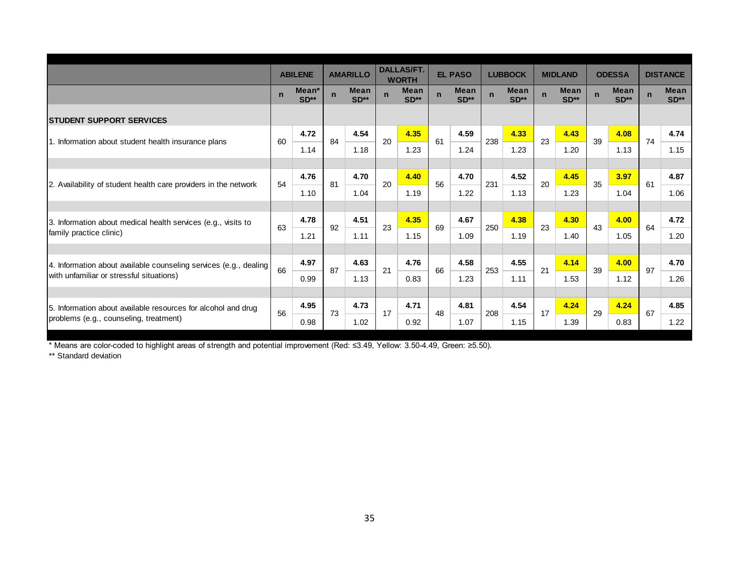|                                                                   |             | <b>ABILENE</b>  |             | <b>AMARILLO</b>       |             | <b>DALLAS/FT.</b><br><b>WORTH</b> |             | <b>EL PASO</b>        |             | <b>LUBBOCK</b>        |             | <b>MIDLAND</b>        |             | <b>ODESSA</b>         |             | <b>DISTANCE</b>       |
|-------------------------------------------------------------------|-------------|-----------------|-------------|-----------------------|-------------|-----------------------------------|-------------|-----------------------|-------------|-----------------------|-------------|-----------------------|-------------|-----------------------|-------------|-----------------------|
|                                                                   | $\mathbf n$ | Mean*<br>$SD**$ | $\mathbf n$ | <b>Mean</b><br>$SD**$ | $\mathbf n$ | <b>Mean</b><br>$SD**$             | $\mathbf n$ | <b>Mean</b><br>$SD**$ | $\mathbf n$ | <b>Mean</b><br>$SD**$ | $\mathbf n$ | <b>Mean</b><br>$SD**$ | $\mathbf n$ | <b>Mean</b><br>$SD**$ | $\mathbf n$ | <b>Mean</b><br>$SD**$ |
| <b>ISTUDENT SUPPORT SERVICES</b>                                  |             |                 |             |                       |             |                                   |             |                       |             |                       |             |                       |             |                       |             |                       |
| 1. Information about student health insurance plans               | 60          | 4.72            | 84          | 4.54                  | 20          | 4.35                              | 61          | 4.59                  | 238         | 4.33                  | 23          | 4.43                  | 39          | 4.08                  | 74          | 4.74                  |
|                                                                   |             | 1.14            |             | 1.18                  |             | 1.23                              |             | 1.24                  |             | 1.23                  |             | 1.20                  |             | 1.13                  |             | 1.15                  |
|                                                                   |             |                 |             |                       |             |                                   |             |                       |             |                       |             |                       |             |                       |             |                       |
| 2. Availability of student health care providers in the network   | 54          | 4.76            | 81          | 4.70                  | 20          | 4.40                              | 56          | 4.70                  | 231         | 4.52                  | 20          | 4.45                  | 35          | 3.97                  | 61          | 4.87                  |
|                                                                   |             | 1.10            |             | 1.04                  |             | 1.19                              |             | 1.22                  |             | 1.13                  |             | 1.23                  |             | 1.04                  |             | 1.06                  |
|                                                                   |             |                 |             |                       |             |                                   |             |                       |             |                       |             |                       |             |                       |             |                       |
| 3. Information about medical health services (e.g., visits to     | 63          | 4.78            | 92          | 4.51                  | 23          | 4.35                              | 69          | 4.67                  | 250         | 4.38                  | 23          | 4.30                  | 43          | 4.00                  | 64          | 4.72                  |
| family practice clinic)                                           |             | 1.21            |             | 1.11                  |             | 1.15                              |             | 1.09                  |             | 1.19                  |             | 1.40                  |             | 1.05                  |             | 1.20                  |
|                                                                   |             |                 |             |                       |             |                                   |             |                       |             |                       |             |                       |             |                       |             |                       |
| 4. Information about available counseling services (e.g., dealing | 66          | 4.97            | 87          | 4.63                  | 21          | 4.76                              | 66          | 4.58                  | 253         | 4.55                  | 21          | 4.14                  | 39          | 4.00                  | 97          | 4.70                  |
| with unfamiliar or stressful situations)                          |             | 0.99            |             | 1.13                  |             | 0.83                              |             | 1.23                  |             | 1.11                  |             | 1.53                  |             | 1.12                  |             | 1.26                  |
|                                                                   |             |                 |             |                       |             |                                   |             |                       |             |                       |             |                       |             |                       |             |                       |
| 5. Information about available resources for alcohol and drug     | 56          | 4.95            | 73          | 4.73                  | 17          | 4.71                              | 48          | 4.81                  | 208         | 4.54                  | 17          | 4.24                  | 29          | 4.24                  | 67          | 4.85                  |
| problems (e.g., counseling, treatment)                            |             | 0.98            |             | 1.02                  |             | 0.92                              |             | 1.07                  |             | 1.15                  |             | 1.39                  |             | 0.83                  |             | 1.22                  |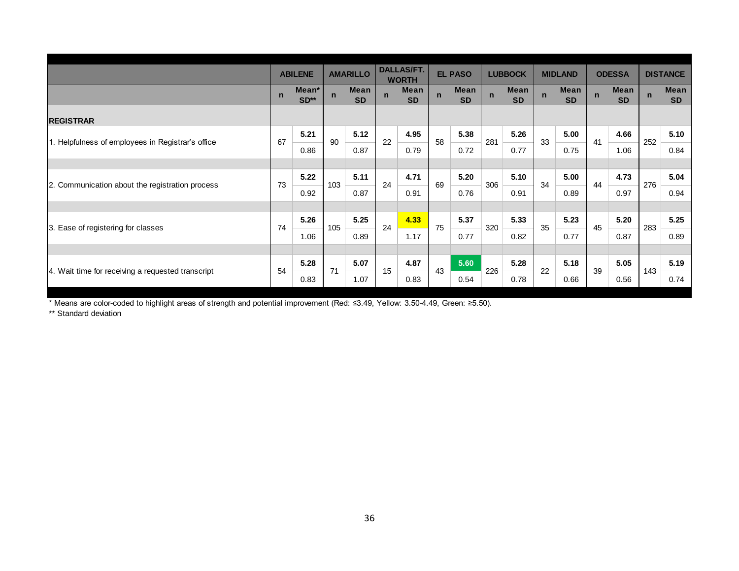|                                                   |             | <b>ABILENE</b>  |             | <b>AMARILLO</b>   |             | <b>DALLAS/FT.</b><br><b>WORTH</b> |             | <b>EL PASO</b>           |             | <b>LUBBOCK</b>    |             | <b>MIDLAND</b>    |             | <b>ODESSA</b>     |             | <b>DISTANCE</b>   |
|---------------------------------------------------|-------------|-----------------|-------------|-------------------|-------------|-----------------------------------|-------------|--------------------------|-------------|-------------------|-------------|-------------------|-------------|-------------------|-------------|-------------------|
|                                                   | $\mathbf n$ | Mean*<br>$SD**$ | $\mathbf n$ | Mean<br><b>SD</b> | $\mathbf n$ | <b>Mean</b><br><b>SD</b>          | $\mathbf n$ | <b>Mean</b><br><b>SD</b> | $\mathbf n$ | Mean<br><b>SD</b> | $\mathbf n$ | Mean<br><b>SD</b> | $\mathbf n$ | Mean<br><b>SD</b> | $\mathbf n$ | Mean<br><b>SD</b> |
| <b>REGISTRAR</b>                                  |             |                 |             |                   |             |                                   |             |                          |             |                   |             |                   |             |                   |             |                   |
| 1. Helpfulness of employees in Registrar's office | 67          | 5.21            | 90          | 5.12              | 22          | 4.95                              | 58          | 5.38                     | 281         | 5.26              | 33          | 5.00              | 41          | 4.66              | 252         | 5.10              |
|                                                   |             | 0.86            |             | 0.87              |             | 0.79                              |             | 0.72                     |             | 0.77              |             | 0.75              |             | 1.06              |             | 0.84              |
|                                                   |             |                 |             |                   |             |                                   |             |                          |             |                   |             |                   |             |                   |             |                   |
| 2. Communication about the registration process   | 73          | 5.22            | 103         | 5.11              | 24          | 4.71                              | 69          | 5.20                     | 306         | 5.10              | 34          | 5.00              | 44          | 4.73              | 276         | 5.04              |
|                                                   |             | 0.92            |             | 0.87              |             | 0.91                              |             | 0.76                     |             | 0.91              |             | 0.89              |             | 0.97              |             | 0.94              |
|                                                   |             |                 |             |                   |             |                                   |             |                          |             |                   |             |                   |             |                   |             |                   |
| 3. Ease of registering for classes                | 74          | 5.26            | 105         | 5.25              | 24          | 4.33                              | 75          | 5.37                     | 320         | 5.33              | 35          | 5.23              | 45          | 5.20              | 283         | 5.25              |
|                                                   |             | 1.06            |             | 0.89              |             | 1.17                              |             | 0.77                     |             | 0.82              |             | 0.77              |             | 0.87              |             | 0.89              |
|                                                   |             |                 |             |                   |             |                                   |             |                          |             |                   |             |                   |             |                   |             |                   |
| 4. Wait time for receiving a requested transcript | 54          | 5.28            | 71          | 5.07              | 15          | 4.87                              | 43          | 5.60                     | 226         | 5.28              | 22          | 5.18              | 39          | 5.05              | 143         | 5.19              |
|                                                   |             | 0.83            |             | 1.07              |             | 0.83                              |             | 0.54                     |             | 0.78              |             | 0.66              |             | 0.56              |             | 0.74              |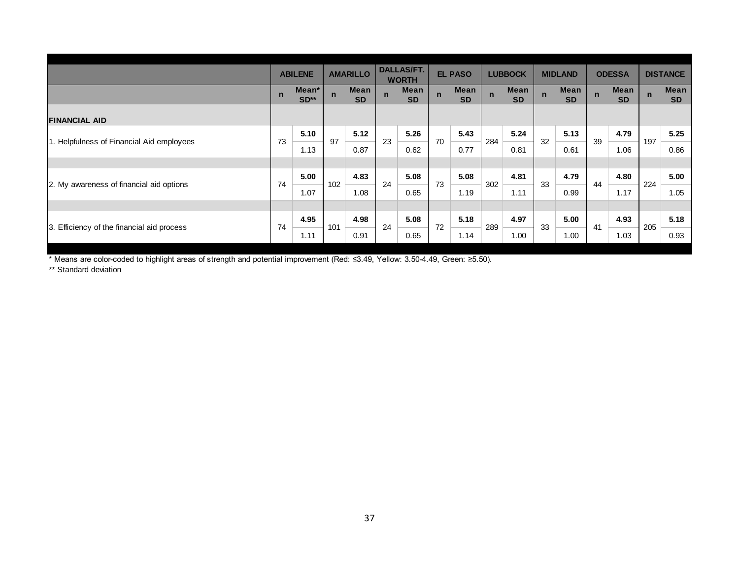|                                            |              | <b>ABILENE</b>  |             | <b>AMARILLO</b>   |              | DALLAS/FT.<br><b>WORTH</b> |                | <b>EL PASO</b>    |             | <b>LUBBOCK</b> |             | <b>MIDLAND</b>    |              | <b>ODESSA</b>     |              | <b>DISTANCE</b>   |
|--------------------------------------------|--------------|-----------------|-------------|-------------------|--------------|----------------------------|----------------|-------------------|-------------|----------------|-------------|-------------------|--------------|-------------------|--------------|-------------------|
|                                            | $\mathsf{n}$ | Mean*<br>$SD**$ | $\mathbf n$ | Mean<br><b>SD</b> | $\mathsf{n}$ | Mean<br><b>SD</b>          | $\overline{p}$ | Mean<br><b>SD</b> | $\mathbf n$ | Mean<br>SD     | $\mathbf n$ | Mean<br><b>SD</b> | $\mathsf{n}$ | Mean<br><b>SD</b> | $\mathsf{n}$ | Mean<br><b>SD</b> |
| <b>FINANCIAL AID</b>                       |              |                 |             |                   |              |                            |                |                   |             |                |             |                   |              |                   |              |                   |
| 1. Helpfulness of Financial Aid employees  | 73           | 5.10<br>1.13    | 97          | 5.12<br>0.87      | 23           | 5.26<br>0.62               | 70             | 5.43<br>0.77      | 284         | 5.24<br>0.81   | 32          | 5.13<br>0.61      | 39           | 4.79<br>1.06      | 197          | 5.25<br>0.86      |
| 2. My awareness of financial aid options   | 74           | 5.00            | 102         | 4.83              | 24           | 5.08                       | 73             | 5.08              | 302         | 4.81           | 33          | 4.79              | 44           | 4.80              | 224          | 5.00              |
|                                            |              | 1.07            |             | 1.08              |              | 0.65                       |                | 1.19              |             | 1.11           |             | 0.99              |              | 1.17              |              | 1.05              |
| 3. Efficiency of the financial aid process | 74           | 4.95            | 101         | 4.98              | 24           | 5.08                       | $72\,$         | 5.18              | 289         | 4.97           | 33          | 5.00              | 41           | 4.93              | 205          | 5.18              |
|                                            |              | 1.11            |             | 0.91              |              | 0.65                       |                | 1.14              |             | 1.00           |             | 1.00              |              | 1.03              |              | 0.93              |
|                                            |              |                 |             |                   |              |                            |                |                   |             |                |             |                   |              |                   |              |                   |
|                                            |              |                 |             | 37                |              |                            |                |                   |             |                |             |                   |              |                   |              |                   |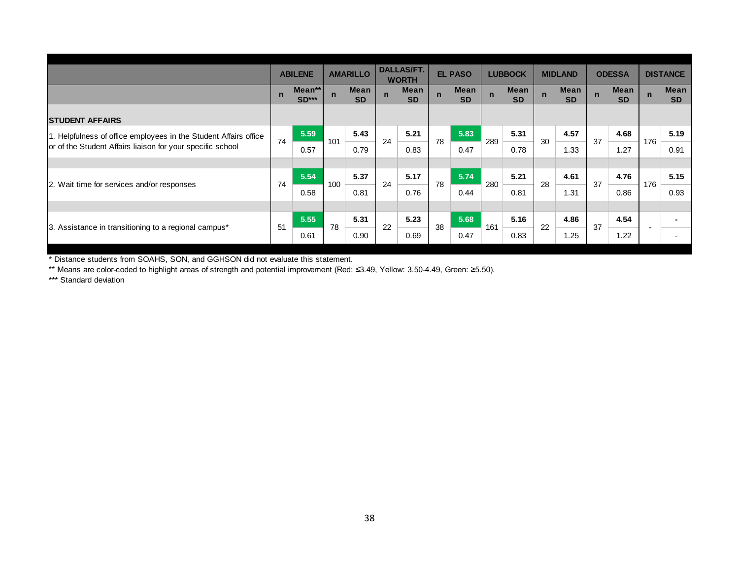|                                                                  |             | <b>ABILENE</b>    |             | <b>AMARILLO</b>   |             | <b>DALLAS/FT.</b><br><b>WORTH</b> |             | <b>EL PASO</b>           |             | <b>LUBBOCK</b>    |             | <b>MIDLAND</b>    |             | <b>ODESSA</b>     |             | <b>DISTANCE</b>   |
|------------------------------------------------------------------|-------------|-------------------|-------------|-------------------|-------------|-----------------------------------|-------------|--------------------------|-------------|-------------------|-------------|-------------------|-------------|-------------------|-------------|-------------------|
|                                                                  | $\mathbf n$ | Mean**<br>$SD***$ | $\mathbf n$ | Mean<br><b>SD</b> | $\mathbf n$ | <b>Mean</b><br><b>SD</b>          | $\mathbf n$ | <b>Mean</b><br><b>SD</b> | $\mathbf n$ | Mean<br><b>SD</b> | $\mathbf n$ | Mean<br><b>SD</b> | $\mathbf n$ | Mean<br><b>SD</b> | $\mathbf n$ | Mean<br><b>SD</b> |
| <b>STUDENT AFFAIRS</b>                                           |             |                   |             |                   |             |                                   |             |                          |             |                   |             |                   |             |                   |             |                   |
| 1. Helpfulness of office employees in the Student Affairs office | 74          | 5.59              | 101         | 5.43              | 24          | 5.21                              | 78          | 5.83                     | 289         | 5.31              | 30          | 4.57              | 37          | 4.68              | 176         | 5.19              |
| or of the Student Affairs liaison for your specific school       |             | 0.57              |             | 0.79              |             | 0.83                              |             | 0.47                     |             | 0.78              |             | 1.33              |             | 1.27              |             | 0.91              |
|                                                                  |             |                   |             |                   |             |                                   |             |                          |             |                   |             |                   |             |                   |             |                   |
| 2. Wait time for services and/or responses                       | 74          | 5.54              | 100         | 5.37              | 24          | 5.17                              | 78          | 5.74                     | 280         | 5.21              | 28          | 4.61              | 37          | 4.76              | 176         | 5.15              |
|                                                                  |             | 0.58              |             | 0.81              |             | 0.76                              |             | 0.44                     |             | 0.81              |             | 1.31              |             | 0.86              |             | 0.93              |
|                                                                  |             |                   |             |                   |             |                                   |             |                          |             |                   |             |                   |             |                   |             |                   |
| 3. Assistance in transitioning to a regional campus*             | 51          | 5.55              | 78          | 5.31              | 22          | 5.23                              | 38          | 5.68                     | 161         | 5.16              | 22          | 4.86              | 37          | 4.54              |             |                   |
|                                                                  |             | 0.61              |             | 0.90              |             | 0.69                              |             | 0.47                     |             | 0.83              |             | 1.25              |             | 1.22              |             |                   |

\* Distance students from SOAHS, SON, and GGHSON did not evaluate this statement.

\*\* Means are color-coded to highlight areas of strength and potential improvement (Red: ≤3.49, Yellow: 3.50-4.49, Green: ≥5.50).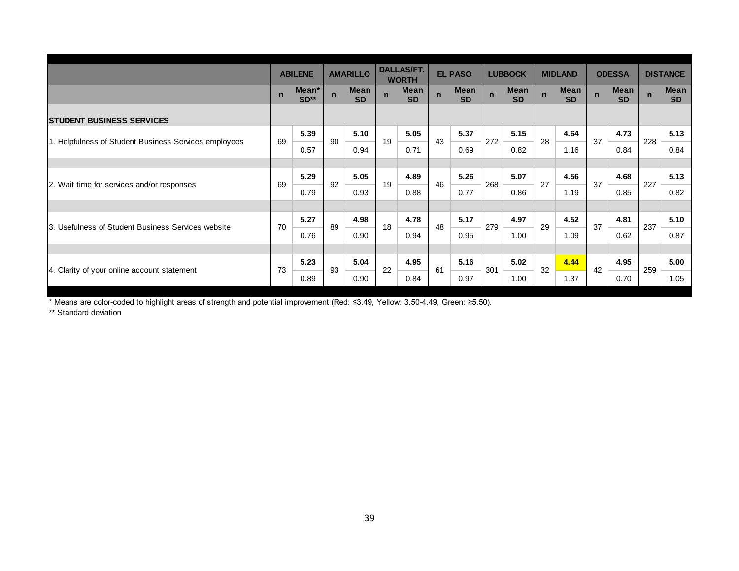|                                                       |             | <b>ABILENE</b>  |             | <b>AMARILLO</b>   |             | <b>DALLAS/FT.</b><br><b>WORTH</b> |             | <b>EL PASO</b>    |             | <b>LUBBOCK</b>    |             | <b>MIDLAND</b>    |             | <b>ODESSA</b>     |             | <b>DISTANCE</b>   |
|-------------------------------------------------------|-------------|-----------------|-------------|-------------------|-------------|-----------------------------------|-------------|-------------------|-------------|-------------------|-------------|-------------------|-------------|-------------------|-------------|-------------------|
|                                                       | $\mathbf n$ | Mean*<br>$SD**$ | $\mathbf n$ | Mean<br><b>SD</b> | $\mathbf n$ | Mean<br><b>SD</b>                 | $\mathbf n$ | Mean<br><b>SD</b> | $\mathbf n$ | Mean<br><b>SD</b> | $\mathbf n$ | Mean<br><b>SD</b> | $\mathbf n$ | Mean<br><b>SD</b> | $\mathbf n$ | Mean<br><b>SD</b> |
| <b>STUDENT BUSINESS SERVICES</b>                      |             |                 |             |                   |             |                                   |             |                   |             |                   |             |                   |             |                   |             |                   |
|                                                       | 69          | 5.39            | 90          | 5.10              | 19          | 5.05                              | 43          | 5.37              | 272         | 5.15              | 28          | 4.64              | 37          | 4.73              | 228         | 5.13              |
| 1. Helpfulness of Student Business Services employees |             | 0.57            |             | 0.94              |             | 0.71                              |             | 0.69              |             | 0.82              |             | 1.16              |             | 0.84              |             | 0.84              |
|                                                       |             |                 |             |                   |             |                                   |             |                   |             |                   |             |                   |             |                   |             |                   |
|                                                       | 69          | 5.29            | 92          | 5.05              | 19          | 4.89                              | 46          | 5.26              | 268         | 5.07              | 27          | 4.56              | 37          | 4.68              | 227         | 5.13              |
| 2. Wait time for services and/or responses            |             | 0.79            |             | 0.93              |             | 0.88                              |             | 0.77              |             | 0.86              |             | 1.19              |             | 0.85              |             | 0.82              |
|                                                       |             |                 |             |                   |             |                                   |             |                   |             |                   |             |                   |             |                   |             |                   |
| 3. Usefulness of Student Business Services website    | 70          | 5.27            | 89          | 4.98              | 18          | 4.78                              | 48          | 5.17              | 279         | 4.97              | 29          | 4.52              | 37          | 4.81              | 237         | 5.10              |
|                                                       |             | 0.76            |             | 0.90              |             | 0.94                              |             | 0.95              |             | 1.00              |             | 1.09              |             | 0.62              |             | 0.87              |
|                                                       |             |                 |             |                   |             |                                   |             |                   |             |                   |             |                   |             |                   |             |                   |
|                                                       | 73          | 5.23            | 93          | 5.04              | 22          | 4.95                              | 61          | 5.16              | 301         | 5.02              | 32          | 4.44              | 42          | 4.95              | 259         | 5.00              |
| 4. Clarity of your online account statement           |             | 0.89            |             | 0.90              |             | 0.84                              |             | 0.97              |             | 1.00              |             | 1.37              |             | 0.70              |             | 1.05              |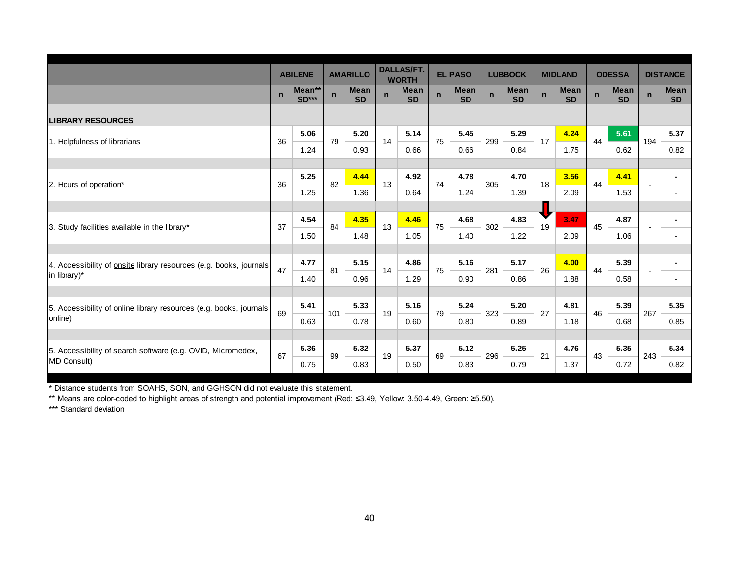|                                                                                           |             | <b>ABILENE</b>         |             | <b>AMARILLO</b>          |             | <b>DALLAS/FT.</b><br><b>WORTH</b> |             | <b>EL PASO</b>           | <b>LUBBOCK</b> |                          | <b>MIDLAND</b> |                          | <b>ODESSA</b> |                          |             | <b>DISTANCE</b>          |
|-------------------------------------------------------------------------------------------|-------------|------------------------|-------------|--------------------------|-------------|-----------------------------------|-------------|--------------------------|----------------|--------------------------|----------------|--------------------------|---------------|--------------------------|-------------|--------------------------|
|                                                                                           | $\mathbf n$ | Mean**<br><b>SD***</b> | $\mathbf n$ | <b>Mean</b><br><b>SD</b> | $\mathbf n$ | <b>Mean</b><br><b>SD</b>          | $\mathbf n$ | <b>Mean</b><br><b>SD</b> | $\mathbf n$    | <b>Mean</b><br><b>SD</b> | $\mathbf n$    | <b>Mean</b><br><b>SD</b> | $\mathbf n$   | <b>Mean</b><br><b>SD</b> | $\mathbf n$ | Mean<br><b>SD</b>        |
| <b>LIBRARY RESOURCES</b>                                                                  |             |                        |             |                          |             |                                   |             |                          |                |                          |                |                          |               |                          |             |                          |
| 1. Helpfulness of librarians                                                              | 36          | 5.06                   | 79          | 5.20                     | 14          | 5.14                              | 75          | 5.45                     | 299            | 5.29                     | 17             | 4.24                     | 44            | 5.61                     | 194         | 5.37                     |
|                                                                                           |             | 1.24                   |             | 0.93                     |             | 0.66                              |             | 0.66                     |                | 0.84                     |                | 1.75                     |               | 0.62                     |             | 0.82                     |
|                                                                                           |             |                        |             |                          |             |                                   |             |                          |                |                          |                |                          |               |                          |             |                          |
| 2. Hours of operation*                                                                    | 36          | 5.25                   | 82          | 4.44                     | 13          | 4.92                              | 74          | 4.78                     | 305            | 4.70                     | 18             | 3.56                     | 44            | 4.41                     |             | ۰                        |
|                                                                                           |             | 1.25                   |             | 1.36                     |             | 0.64                              |             | 1.24                     |                | 1.39                     |                | 2.09                     |               | 1.53                     |             | $\blacksquare$           |
|                                                                                           |             |                        |             |                          |             |                                   |             |                          |                |                          |                |                          |               |                          |             |                          |
| 3. Study facilities available in the library*                                             | 37          | 4.54                   | 84          | 4.35                     | 13          | 4.46                              | 75          | 4.68                     | 302            | 4.83                     | 19             | 3.47                     | 45            | 4.87                     |             |                          |
|                                                                                           |             | 1.50                   |             | 1.48                     |             | 1.05                              |             | 1.40                     |                | 1.22                     |                | 2.09                     |               | 1.06                     |             | $\overline{\phantom{0}}$ |
|                                                                                           |             | 4.77                   |             | 5.15                     |             | 4.86                              |             | 5.16                     |                | 5.17                     |                | 4.00                     |               | 5.39                     |             |                          |
| 4. Accessibility of <b>onsite</b> library resources (e.g. books, journals<br>in library)* | 47          |                        | 81          |                          | 14          |                                   | 75          |                          | 281            |                          | 26             |                          | 44            |                          |             |                          |
|                                                                                           |             | 1.40                   |             | 0.96                     |             | 1.29                              |             | 0.90                     |                | 0.86                     |                | 1.88                     |               | 0.58                     |             | $\overline{a}$           |
| 5. Accessibility of online library resources (e.g. books, journals                        |             | 5.41                   |             | 5.33                     |             | 5.16                              |             | 5.24                     |                | 5.20                     |                | 4.81                     |               | 5.39                     |             | 5.35                     |
| online)                                                                                   | 69          | 0.63                   | 101         | 0.78                     | 19          | 0.60                              | 79          | 0.80                     | 323            | 0.89                     | 27             | 1.18                     | 46            | 0.68                     | 267         | 0.85                     |
|                                                                                           |             |                        |             |                          |             |                                   |             |                          |                |                          |                |                          |               |                          |             |                          |
| 5. Accessibility of search software (e.g. OVID, Micromedex,                               | 67          | 5.36                   | 99          | 5.32                     | 19          | 5.37                              | 69          | 5.12                     |                | 5.25                     |                | 4.76                     |               | 5.35                     |             | 5.34                     |
| MD Consult)                                                                               |             | 0.75                   |             | 0.83                     |             | 0.50                              |             | 0.83                     | 296            | 0.79                     | 21             | 1.37                     | 43            | 0.72                     | 243         | 0.82                     |

\* Distance students from SOAHS, SON, and GGHSON did not evaluate this statement.

\*\* Means are color-coded to highlight areas of strength and potential improvement (Red: ≤3.49, Yellow: 3.50-4.49, Green: ≥5.50).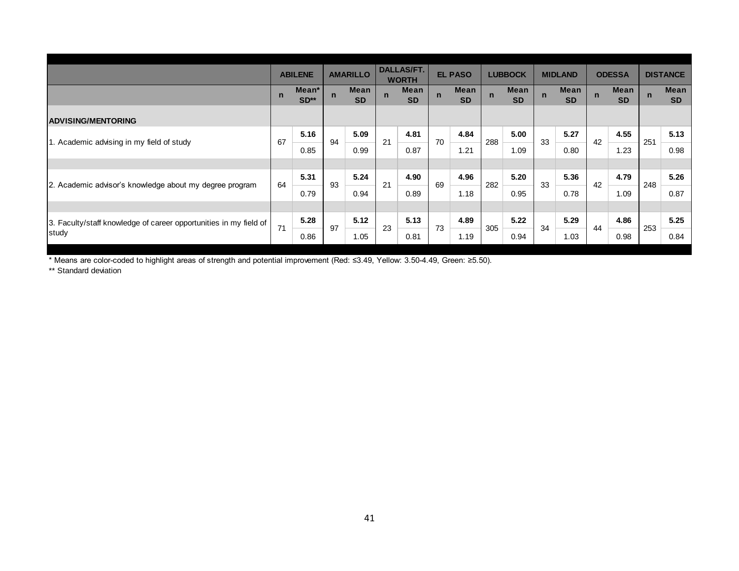|                                                                   |              | <b>ABILENE</b>  |              | <b>AMARILLO</b>   |             | <b>DALLAS/FT.</b><br><b>WORTH</b> |             | <b>EL PASO</b>    |             | <b>LUBBOCK</b>    |             | <b>MIDLAND</b> |              | <b>ODESSA</b>     |             | <b>DISTANCE</b> |
|-------------------------------------------------------------------|--------------|-----------------|--------------|-------------------|-------------|-----------------------------------|-------------|-------------------|-------------|-------------------|-------------|----------------|--------------|-------------------|-------------|-----------------|
|                                                                   | $\mathsf{n}$ | Mean*<br>$SD**$ | $\mathsf{n}$ | Mean<br><b>SD</b> | $\mathsf n$ | Mean<br><b>SD</b>                 | $\mathbf n$ | Mean<br><b>SD</b> | $\mathbf n$ | Mean<br><b>SD</b> | $\mathbf n$ | Mean<br>SD     | $\mathsf{n}$ | Mean<br><b>SD</b> | $\mathbf n$ | Mean<br>SD      |
| <b>ADVISING/MENTORING</b>                                         |              |                 |              |                   |             |                                   |             |                   |             |                   |             |                |              |                   |             |                 |
| 1. Academic advising in my field of study                         | 67           | 5.16<br>0.85    | 94           | 5.09<br>0.99      | 21          | 4.81<br>0.87                      | 70          | 4.84<br>1.21      | 288         | 5.00<br>1.09      | 33          | 5.27<br>0.80   | 42           | 4.55<br>1.23      | 251         | 5.13<br>0.98    |
|                                                                   |              | 5.31            |              | 5.24              |             | 4.90                              |             | 4.96              |             | 5.20              |             | 5.36           |              | 4.79              |             | 5.26            |
| 2. Academic advisor's knowledge about my degree program           | 64           | 0.79            | 93           | 0.94              | 21          | 0.89                              | 69          | 1.18              | 282         | 0.95              | 33          | 0.78           | 42           | 1.09              | 248         | 0.87            |
| 3. Faculty/staff knowledge of career opportunities in my field of | 71           | 5.28            | 97           | 5.12              | 23          | 5.13                              | 73          | 4.89              | 305         | 5.22              | 34          | 5.29           | 44           | 4.86              | 253         | 5.25            |
| study                                                             |              | 0.86            |              | 1.05              |             | 0.81                              |             | 1.19              |             | 0.94              |             | 1.03           |              | 0.98              |             | 0.84            |
|                                                                   |              |                 |              |                   |             |                                   |             |                   |             |                   |             |                |              |                   |             |                 |
|                                                                   |              |                 |              | 41                |             |                                   |             |                   |             |                   |             |                |              |                   |             |                 |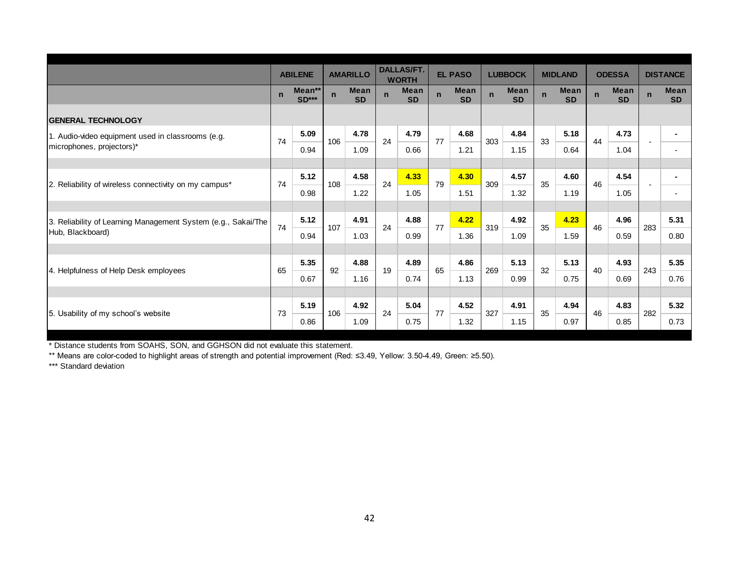|                                                               |             | <b>ABILENE</b>    |             | <b>AMARILLO</b>          |             | <b>DALLAS/FT.</b><br><b>WORTH</b> |             | <b>EL PASO</b>           |             | <b>LUBBOCK</b>           |             | <b>MIDLAND</b>           |              | <b>ODESSA</b>     |             | <b>DISTANCE</b>   |
|---------------------------------------------------------------|-------------|-------------------|-------------|--------------------------|-------------|-----------------------------------|-------------|--------------------------|-------------|--------------------------|-------------|--------------------------|--------------|-------------------|-------------|-------------------|
|                                                               | $\mathbf n$ | Mean**<br>$SD***$ | $\mathbf n$ | <b>Mean</b><br><b>SD</b> | $\mathbf n$ | <b>Mean</b><br><b>SD</b>          | $\mathbf n$ | <b>Mean</b><br><b>SD</b> | $\mathbf n$ | <b>Mean</b><br><b>SD</b> | $\mathbf n$ | <b>Mean</b><br><b>SD</b> | $\mathsf{n}$ | Mean<br><b>SD</b> | $\mathbf n$ | Mean<br><b>SD</b> |
| <b>GENERAL TECHNOLOGY</b>                                     |             |                   |             |                          |             |                                   |             |                          |             |                          |             |                          |              |                   |             |                   |
| 1. Audio-video equipment used in classrooms (e.g.             | 74          | 5.09              | 106         | 4.78                     | 24          | 4.79                              | 77          | 4.68                     | 303         | 4.84                     | 33          | 5.18                     | 44           | 4.73              |             |                   |
| microphones, projectors)*                                     |             | 0.94              |             | 1.09                     |             | 0.66                              |             | 1.21                     |             | 1.15                     |             | 0.64                     |              | 1.04              |             |                   |
|                                                               |             |                   |             |                          |             |                                   |             |                          |             |                          |             |                          |              |                   |             |                   |
| 2. Reliability of wireless connectivity on my campus*         | 74          | 5.12              | 108         | 4.58                     | 24          | 4.33                              | 79          | 4.30                     | 309         | 4.57                     | 35          | 4.60                     | 46           | 4.54              |             |                   |
|                                                               |             | 0.98              |             | 1.22                     |             | 1.05                              |             | 1.51                     |             | 1.32                     |             | 1.19                     |              | 1.05              |             |                   |
|                                                               |             |                   |             |                          |             |                                   |             |                          |             |                          |             |                          |              |                   |             |                   |
| 3. Reliability of Learning Management System (e.g., Sakai/The | 74          | 5.12              | 107         | 4.91                     | 24          | 4.88                              | 77          | 4.22                     | 319         | 4.92                     | 35          | 4.23                     | 46           | 4.96              | 283         | 5.31              |
| Hub, Blackboard)                                              |             | 0.94              |             | 1.03                     |             | 0.99                              |             | 1.36                     |             | 1.09                     |             | 1.59                     |              | 0.59              |             | 0.80              |
|                                                               |             |                   |             |                          |             |                                   |             |                          |             |                          |             |                          |              |                   |             |                   |
| 4. Helpfulness of Help Desk employees                         | 65          | 5.35              | 92          | 4.88                     | 19          | 4.89                              | 65          | 4.86                     | 269         | 5.13                     | 32          | 5.13                     | 40           | 4.93              | 243         | 5.35              |
|                                                               |             | 0.67              |             | 1.16                     |             | 0.74                              |             | 1.13                     |             | 0.99                     |             | 0.75                     |              | 0.69              |             | 0.76              |
|                                                               |             |                   |             |                          |             |                                   |             |                          |             |                          |             |                          |              |                   |             |                   |
| 5. Usability of my school's website                           | 73          | 5.19              | 106         | 4.92                     | 24          | 5.04                              | 77          | 4.52                     | 327         | 4.91                     | 35          | 4.94                     | 46           | 4.83              | 282         | 5.32              |
|                                                               |             | 0.86              |             | 1.09                     |             | 0.75                              |             | 1.32                     |             | 1.15                     |             | 0.97                     |              | 0.85              |             | 0.73              |

\* Distance students from SOAHS, SON, and GGHSON did not evaluate this statement.

\*\* Means are color-coded to highlight areas of strength and potential improvement (Red: ≤3.49, Yellow: 3.50-4.49, Green: ≥5.50).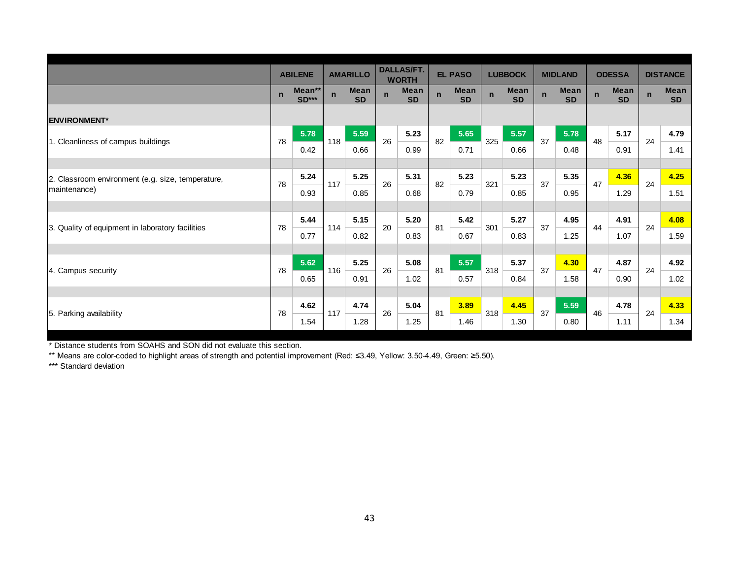|                                                   |              | <b>ABILENE</b>         |              | <b>AMARILLO</b>          |             | <b>DALLAS/FT.</b><br><b>WORTH</b> |             | <b>EL PASO</b>           |             | <b>LUBBOCK</b>           |              | <b>MIDLAND</b>           |              | <b>ODESSA</b>            |             | <b>DISTANCE</b>          |
|---------------------------------------------------|--------------|------------------------|--------------|--------------------------|-------------|-----------------------------------|-------------|--------------------------|-------------|--------------------------|--------------|--------------------------|--------------|--------------------------|-------------|--------------------------|
|                                                   | $\mathsf{n}$ | Mean**<br><b>SD***</b> | $\mathsf{n}$ | <b>Mean</b><br><b>SD</b> | $\mathbf n$ | <b>Mean</b><br><b>SD</b>          | $\mathbf n$ | <b>Mean</b><br><b>SD</b> | $\mathbf n$ | <b>Mean</b><br><b>SD</b> | $\mathsf{n}$ | <b>Mean</b><br><b>SD</b> | $\mathsf{n}$ | <b>Mean</b><br><b>SD</b> | $\mathbf n$ | <b>Mean</b><br><b>SD</b> |
| <b>ENVIRONMENT*</b>                               |              |                        |              |                          |             |                                   |             |                          |             |                          |              |                          |              |                          |             |                          |
| 1. Cleanliness of campus buildings                | 78           | 5.78                   | 118          | 5.59                     | 26          | 5.23                              | 82          | 5.65                     | 325         | 5.57                     | 37           | 5.78                     | 48           | 5.17                     | 24          | 4.79                     |
|                                                   |              | 0.42                   |              | 0.66                     |             | 0.99                              |             | 0.71                     |             | 0.66                     |              | 0.48                     |              | 0.91                     |             | 1.41                     |
|                                                   |              |                        |              |                          |             |                                   |             |                          |             |                          |              |                          |              |                          |             |                          |
| 2. Classroom environment (e.g. size, temperature, | 78           | 5.24                   | 117          | 5.25                     | 26          | 5.31                              | 82          | 5.23                     | 321         | 5.23                     | 37           | 5.35                     | 47           | 4.36                     | 24          | 4.25                     |
| maintenance)                                      |              | 0.93                   |              | 0.85                     |             | 0.68                              |             | 0.79                     |             | 0.85                     |              | 0.95                     |              | 1.29                     |             | 1.51                     |
|                                                   |              |                        |              |                          |             |                                   |             |                          |             |                          |              |                          |              |                          |             |                          |
| 3. Quality of equipment in laboratory facilities  | 78           | 5.44                   | 114          | 5.15                     | 20          | 5.20                              | 81          | 5.42                     | 301         | 5.27                     | 37           | 4.95                     | 44           | 4.91                     | 24          | 4.08                     |
|                                                   |              | 0.77                   |              | 0.82                     |             | 0.83                              |             | 0.67                     |             | 0.83                     |              | 1.25                     |              | 1.07                     |             | 1.59                     |
|                                                   |              |                        |              |                          |             |                                   |             |                          |             |                          |              |                          |              |                          |             |                          |
| 4. Campus security                                | 78           | 5.62                   | 116          | 5.25                     | 26          | 5.08                              | 81          | 5.57                     | 318         | 5.37                     | 37           | 4.30                     | 47           | 4.87                     | 24          | 4.92                     |
|                                                   |              | 0.65                   |              | 0.91                     |             | 1.02                              |             | 0.57                     |             | 0.84                     |              | 1.58                     |              | 0.90                     |             | 1.02                     |
|                                                   |              |                        |              |                          |             |                                   |             |                          |             |                          |              |                          |              |                          |             |                          |
| 5. Parking availability                           | 78           | 4.62                   | 117          | 4.74                     | 26          | 5.04                              | 81          | 3.89                     | 318         | 4.45                     | 37           | 5.59                     | 46           | 4.78                     | 24          | 4.33                     |
|                                                   |              | 1.54                   |              | 1.28                     |             | 1.25                              |             | 1.46                     |             | 1.30                     |              | 0.80                     |              | 1.11                     |             | 1.34                     |

\* Distance students from SOAHS and SON did not evaluate this section.

\*\* Means are color-coded to highlight areas of strength and potential improvement (Red: ≤3.49, Yellow: 3.50-4.49, Green: ≥5.50).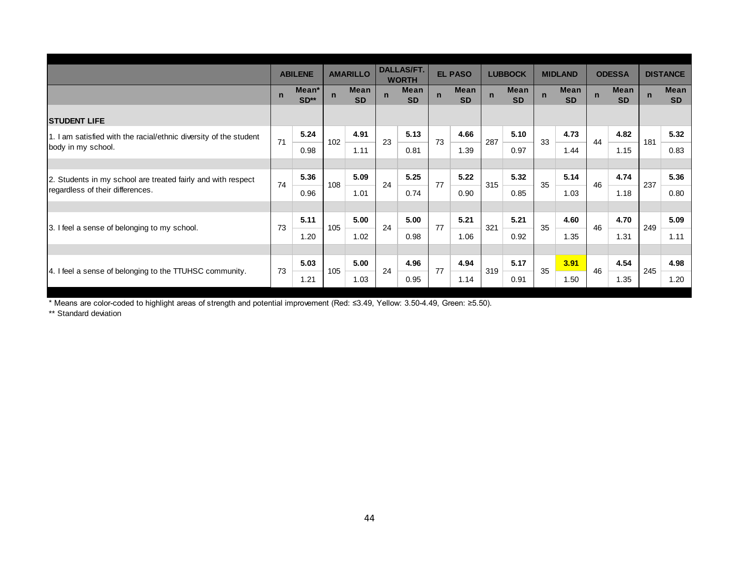|                                                                   |             | <b>ABILENE</b>  |              | <b>AMARILLO</b>   |             | <b>DALLAS/FT.</b><br><b>WORTH</b> |             | <b>EL PASO</b>           |             | <b>LUBBOCK</b>    |             | <b>MIDLAND</b>           |             | <b>ODESSA</b>     |             | <b>DISTANCE</b>   |
|-------------------------------------------------------------------|-------------|-----------------|--------------|-------------------|-------------|-----------------------------------|-------------|--------------------------|-------------|-------------------|-------------|--------------------------|-------------|-------------------|-------------|-------------------|
|                                                                   | $\mathbf n$ | Mean*<br>$SD**$ | $\mathsf{n}$ | Mean<br><b>SD</b> | $\mathbf n$ | <b>Mean</b><br><b>SD</b>          | $\mathbf n$ | <b>Mean</b><br><b>SD</b> | $\mathbf n$ | Mean<br><b>SD</b> | $\mathbf n$ | <b>Mean</b><br><b>SD</b> | $\mathbf n$ | Mean<br><b>SD</b> | $\mathbf n$ | Mean<br><b>SD</b> |
| <b>STUDENT LIFE</b>                                               |             |                 |              |                   |             |                                   |             |                          |             |                   |             |                          |             |                   |             |                   |
| 1. I am satisfied with the racial/ethnic diversity of the student | 71          | 5.24            | 102          | 4.91              | 23          | 5.13                              | 73          | 4.66                     | 287         | 5.10              | 33          | 4.73                     | 44          | 4.82              | 181         | 5.32              |
| body in my school.                                                |             | 0.98            |              | 1.11              |             | 0.81                              |             | 1.39                     |             | 0.97              |             | 1.44                     |             | 1.15              |             | 0.83              |
|                                                                   |             |                 |              |                   |             |                                   |             |                          |             |                   |             |                          |             |                   |             |                   |
| 2. Students in my school are treated fairly and with respect      | 74          | 5.36            | 108          | 5.09              | 24          | 5.25                              | 77          | 5.22                     | 315         | 5.32              | 35          | 5.14                     | 46          | 4.74              | 237         | 5.36              |
| regardless of their differences.                                  |             | 0.96            |              | 1.01              |             | 0.74                              |             | 0.90                     |             | 0.85              |             | 1.03                     |             | 1.18              |             | 0.80              |
|                                                                   |             |                 |              |                   |             |                                   |             |                          |             |                   |             |                          |             |                   |             |                   |
| 3. I feel a sense of belonging to my school.                      | 73          | 5.11            | 105          | 5.00              | 24          | 5.00                              | 77          | 5.21                     | 321         | 5.21              | 35          | 4.60                     | 46          | 4.70              | 249         | 5.09              |
|                                                                   |             | 1.20            |              | 1.02              |             | 0.98                              |             | 1.06                     |             | 0.92              |             | 1.35                     |             | 1.31              |             | 1.11              |
|                                                                   |             |                 |              |                   |             |                                   |             |                          |             |                   |             |                          |             |                   |             |                   |
| 4. I feel a sense of belonging to the TTUHSC community.           | 73          | 5.03            | 105          | 5.00              | 24          | 4.96                              | 77          | 4.94                     | 319         | 5.17              | 35          | 3.91                     | 46          | 4.54              | 245         | 4.98              |
|                                                                   |             | 1.21            |              | 1.03              |             | 0.95                              |             | 1.14                     |             | 0.91              |             | 1.50                     |             | 1.35              |             | 1.20              |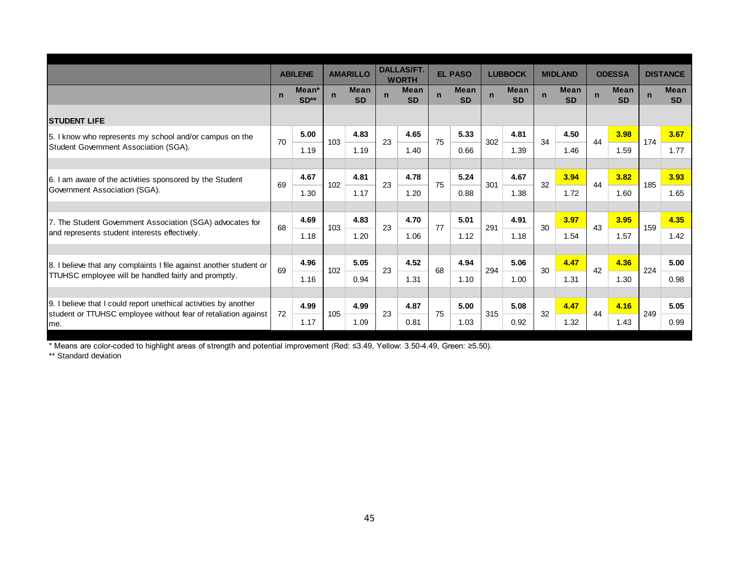|                                                                        |             | <b>ABILENE</b>  |             | <b>AMARILLO</b>          |             | <b>DALLAS/FT.</b><br><b>WORTH</b> |             | <b>EL PASO</b>    |             | <b>LUBBOCK</b>           |             | <b>MIDLAND</b>           |             | <b>ODESSA</b>            |             | <b>DISTANCE</b>          |
|------------------------------------------------------------------------|-------------|-----------------|-------------|--------------------------|-------------|-----------------------------------|-------------|-------------------|-------------|--------------------------|-------------|--------------------------|-------------|--------------------------|-------------|--------------------------|
|                                                                        | $\mathbf n$ | Mean*<br>$SD**$ | $\mathbf n$ | <b>Mean</b><br><b>SD</b> | $\mathbf n$ | Mean<br><b>SD</b>                 | $\mathbf n$ | Mean<br><b>SD</b> | $\mathbf n$ | <b>Mean</b><br><b>SD</b> | $\mathbf n$ | <b>Mean</b><br><b>SD</b> | $\mathbf n$ | <b>Mean</b><br><b>SD</b> | $\mathbf n$ | <b>Mean</b><br><b>SD</b> |
| <b>STUDENT LIFE</b>                                                    |             |                 |             |                          |             |                                   |             |                   |             |                          |             |                          |             |                          |             |                          |
| 5. I know who represents my school and/or campus on the                | 70          | 5.00            | 103         | 4.83                     | 23          | 4.65                              | 75          | 5.33              | 302         | 4.81                     | 34          | 4.50                     | 44          | 3.98                     | 174         | 3.67                     |
| Student Government Association (SGA).                                  |             | 1.19            |             | 1.19                     |             | 1.40                              |             | 0.66              |             | 1.39                     |             | 1.46                     |             | 1.59                     |             | 1.77                     |
|                                                                        |             |                 |             |                          |             |                                   |             |                   |             |                          |             |                          |             |                          |             |                          |
| 6. I am aware of the activities sponsored by the Student               | 69          | 4.67            | 102         | 4.81                     | 23          | 4.78                              | 75          | 5.24              | 301         | 4.67                     | 32          | 3.94                     | 44          | 3.82                     | 185         | 3.93                     |
| Government Association (SGA).                                          |             | 1.30            |             | 1.17                     |             | 1.20                              |             | 0.88              |             | 1.38                     |             | 1.72                     |             | 1.60                     |             | 1.65                     |
|                                                                        |             |                 |             |                          |             |                                   |             |                   |             |                          |             |                          |             |                          |             |                          |
| 7. The Student Government Association (SGA) advocates for              | 68          | 4.69            | 103         | 4.83                     | 23          | 4.70                              | 77          | 5.01              | 291         | 4.91                     | 30          | 3.97                     | 43          | 3.95                     | 159         | 4.35                     |
| and represents student interests effectively.                          |             | 1.18            |             | 1.20                     |             | 1.06                              |             | 1.12              |             | 1.18                     |             | 1.54                     |             | 1.57                     |             | 1.42                     |
|                                                                        |             |                 |             |                          |             |                                   |             |                   |             |                          |             |                          |             |                          |             |                          |
| 8. I believe that any complaints I file against another student or     | 69          | 4.96            | 102         | 5.05                     | 23          | 4.52                              | 68          | 4.94              | 294         | 5.06                     | 30          | 4.47                     | 42          | 4.36                     | 224         | 5.00                     |
| TTUHSC employee will be handled fairly and promptly.                   |             | 1.16            |             | 0.94                     |             | 1.31                              |             | 1.10              |             | 1.00                     |             | 1.31                     |             | 1.30                     |             | 0.98                     |
|                                                                        |             |                 |             |                          |             |                                   |             |                   |             |                          |             |                          |             |                          |             |                          |
| 9. I believe that I could report unethical activities by another       | 72          | 4.99            | 105         | 4.99                     | 23          | 4.87                              | 75          | 5.00              | 315         | 5.08                     | 32          | 4.47                     | 44          | 4.16                     | 249         | 5.05                     |
| student or TTUHSC employee without fear of retaliation against<br>Ime. |             | 1.17            |             | 1.09                     |             | 0.81                              |             | 1.03              |             | 0.92                     |             | 1.32                     |             | 1.43                     |             | 0.99                     |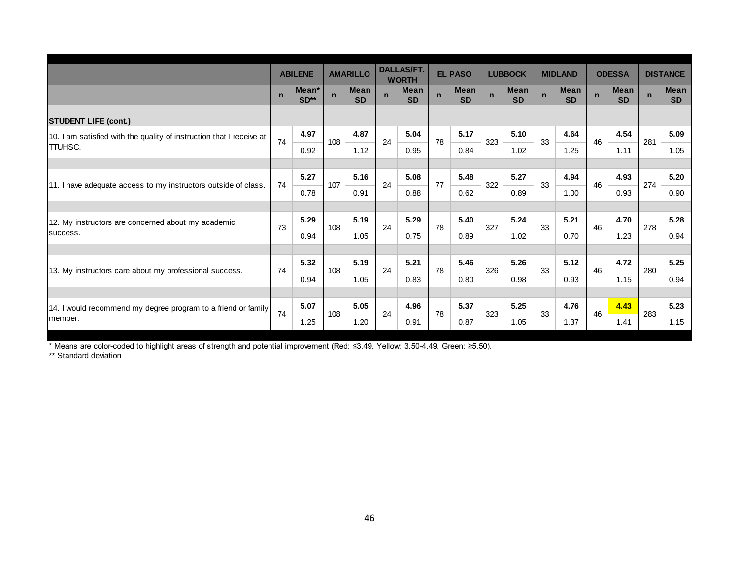|                                                                      |             | <b>ABILENE</b>              |             | <b>AMARILLO</b>          |             | <b>DALLAS/FT.</b><br><b>WORTH</b> |             | <b>EL PASO</b>           |             | <b>LUBBOCK</b>           |              | <b>MIDLAND</b>           |              | <b>ODESSA</b>            |              | <b>DISTANCE</b>          |
|----------------------------------------------------------------------|-------------|-----------------------------|-------------|--------------------------|-------------|-----------------------------------|-------------|--------------------------|-------------|--------------------------|--------------|--------------------------|--------------|--------------------------|--------------|--------------------------|
|                                                                      | $\mathbf n$ | Mean <sup>*</sup><br>$SD**$ | $\mathbf n$ | <b>Mean</b><br><b>SD</b> | $\mathbf n$ | <b>Mean</b><br><b>SD</b>          | $\mathbf n$ | <b>Mean</b><br><b>SD</b> | $\mathbf n$ | <b>Mean</b><br><b>SD</b> | $\mathsf{n}$ | <b>Mean</b><br><b>SD</b> | $\mathsf{n}$ | <b>Mean</b><br><b>SD</b> | $\mathsf{n}$ | <b>Mean</b><br><b>SD</b> |
| <b>STUDENT LIFE (cont.)</b>                                          |             |                             |             |                          |             |                                   |             |                          |             |                          |              |                          |              |                          |              |                          |
| 10. I am satisfied with the quality of instruction that I receive at | 74          | 4.97                        | 108         | 4.87                     | 24          | 5.04                              | 78          | 5.17                     | 323         | 5.10                     | 33           | 4.64                     | 46           | 4.54                     | 281          | 5.09                     |
| <b>ITTUHSC.</b>                                                      |             | 0.92                        |             | 1.12                     |             | 0.95                              |             | 0.84                     |             | 1.02                     |              | 1.25                     |              | 1.11                     |              | 1.05                     |
|                                                                      |             |                             |             |                          |             |                                   |             |                          |             |                          |              |                          |              |                          |              |                          |
| 11. I have adequate access to my instructors outside of class.       | 74          | 5.27                        | 107         | 5.16                     | 24          | 5.08                              | 77          | 5.48                     | 322         | 5.27                     | 33           | 4.94                     | 46           | 4.93                     | 274          | 5.20                     |
|                                                                      |             | 0.78                        |             | 0.91                     |             | 0.88                              |             | 0.62                     |             | 0.89                     |              | 1.00                     |              | 0.93                     |              | 0.90                     |
|                                                                      |             |                             |             |                          |             |                                   |             |                          |             |                          |              |                          |              |                          |              |                          |
| 12. My instructors are concerned about my academic                   | 73          | 5.29                        | 108         | 5.19                     | 24          | 5.29                              | 78          | 5.40                     | 327         | 5.24                     | 33           | 5.21                     | 46           | 4.70                     | 278          | 5.28                     |
| success.                                                             |             | 0.94                        |             | 1.05                     |             | 0.75                              |             | 0.89                     |             | 1.02                     |              | 0.70                     |              | 1.23                     |              | 0.94                     |
|                                                                      |             |                             |             |                          |             |                                   |             |                          |             |                          |              |                          |              |                          |              |                          |
| 13. My instructors care about my professional success.               | 74          | 5.32                        | 108         | 5.19                     | 24          | 5.21                              | 78          | 5.46                     | 326         | 5.26                     | 33           | 5.12                     | 46           | 4.72                     | 280          | 5.25                     |
|                                                                      |             | 0.94                        |             | 1.05                     |             | 0.83                              |             | 0.80                     |             | 0.98                     |              | 0.93                     |              | 1.15                     |              | 0.94                     |
|                                                                      |             |                             |             |                          |             |                                   |             |                          |             |                          |              |                          |              |                          |              |                          |
| 14. I would recommend my degree program to a friend or family        | 74          | 5.07                        | 108         | 5.05                     | 24          | 4.96                              | 78          | 5.37                     | 323         | 5.25                     | 33           | 4.76                     | 46           | 4.43                     | 283          | 5.23                     |
| member.                                                              |             | 1.25                        |             | 1.20                     |             | 0.91                              |             | 0.87                     |             | 1.05                     |              | 1.37                     |              | 1.41                     |              | 1.15                     |